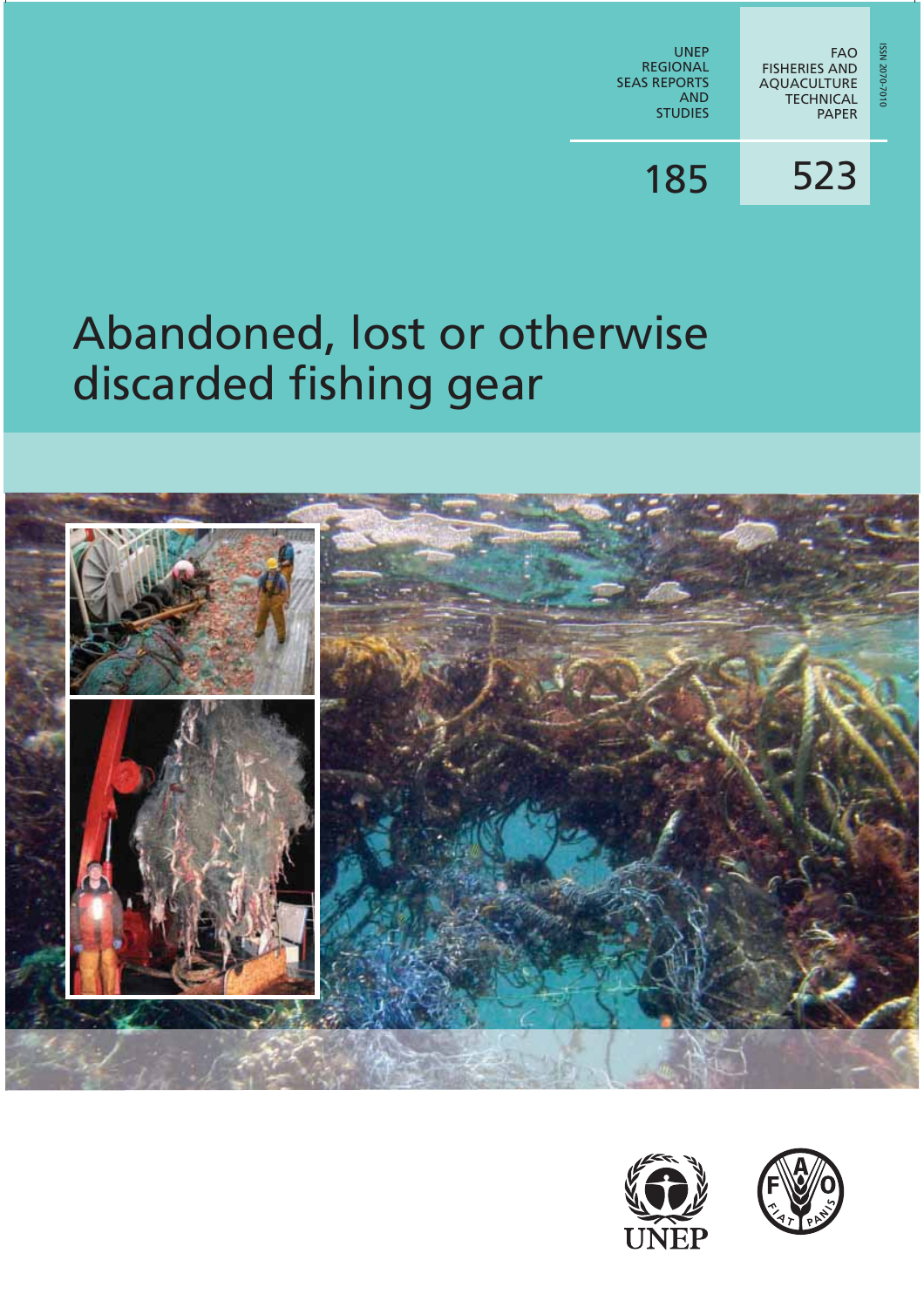

### 523 185

# Abandoned, lost or otherwise discarded fishing gear





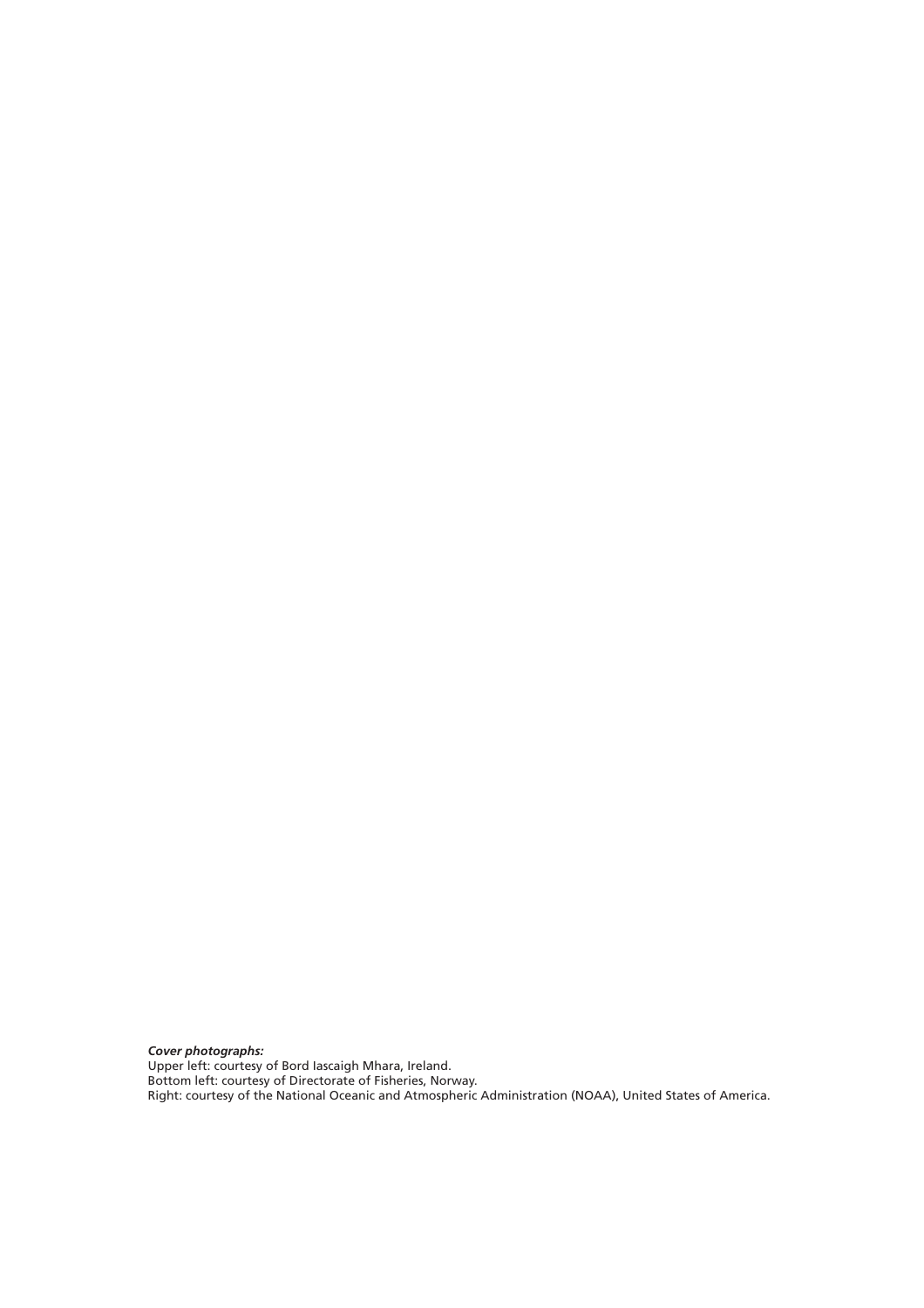*Cover photographs:* Upper left: courtesy of Bord Iascaigh Mhara, Ireland. Bottom left: courtesy of Directorate of Fisheries, Norway. Right: courtesy of the National Oceanic and Atmospheric Administration (NOAA), United States of America.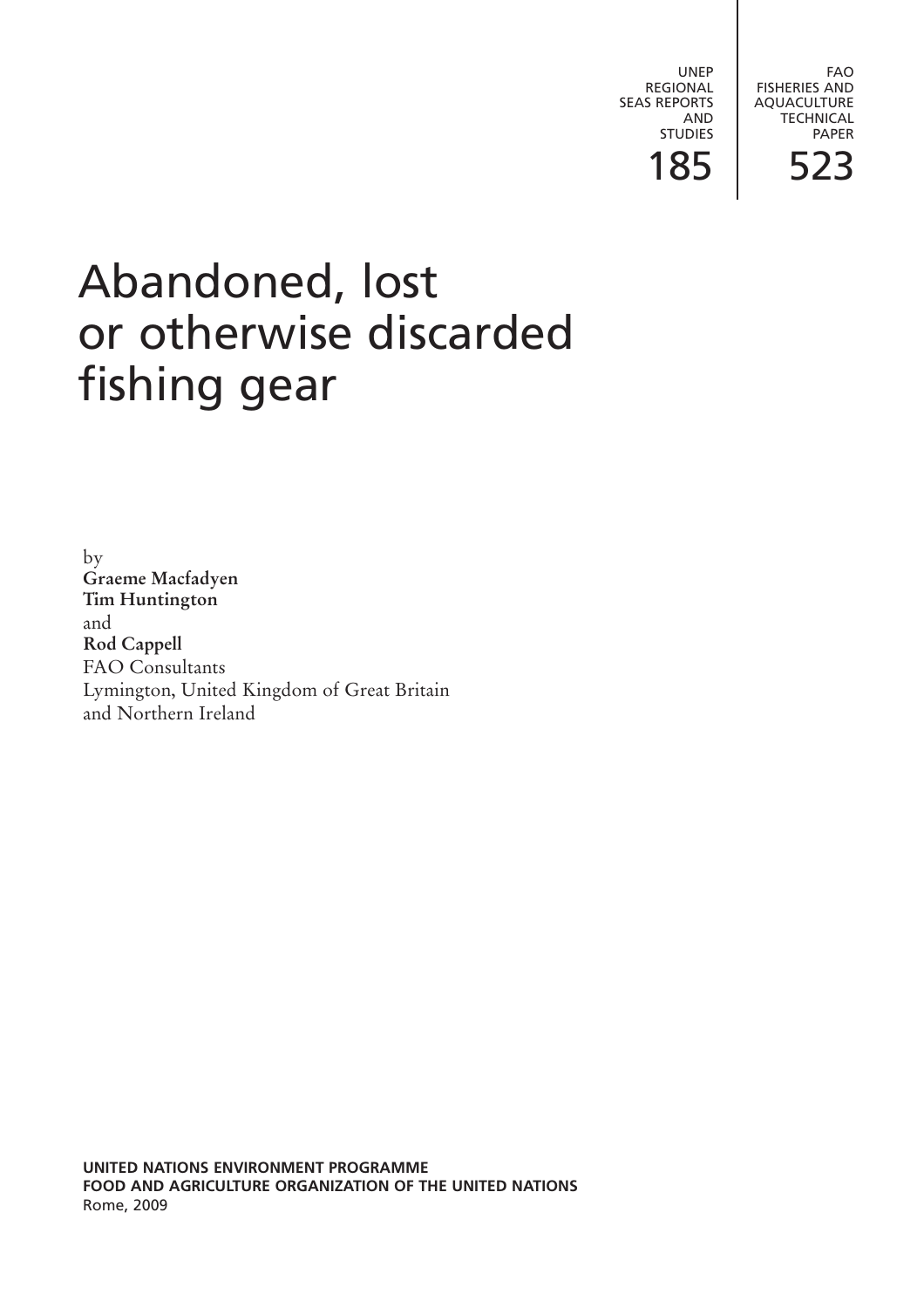UNEP REGIONAL SEAS REPORTS AND STUDIES

FAO FISHERIES AND AQUACULTURE **TECHNICAL** PAPER

185 523

# Abandoned, lost or otherwise discarded fishing gear

by **Graeme Macfadyen Tim Huntington** and **Rod Cappell** FAO Consultants Lymington, United Kingdom of Great Britain and Northern Ireland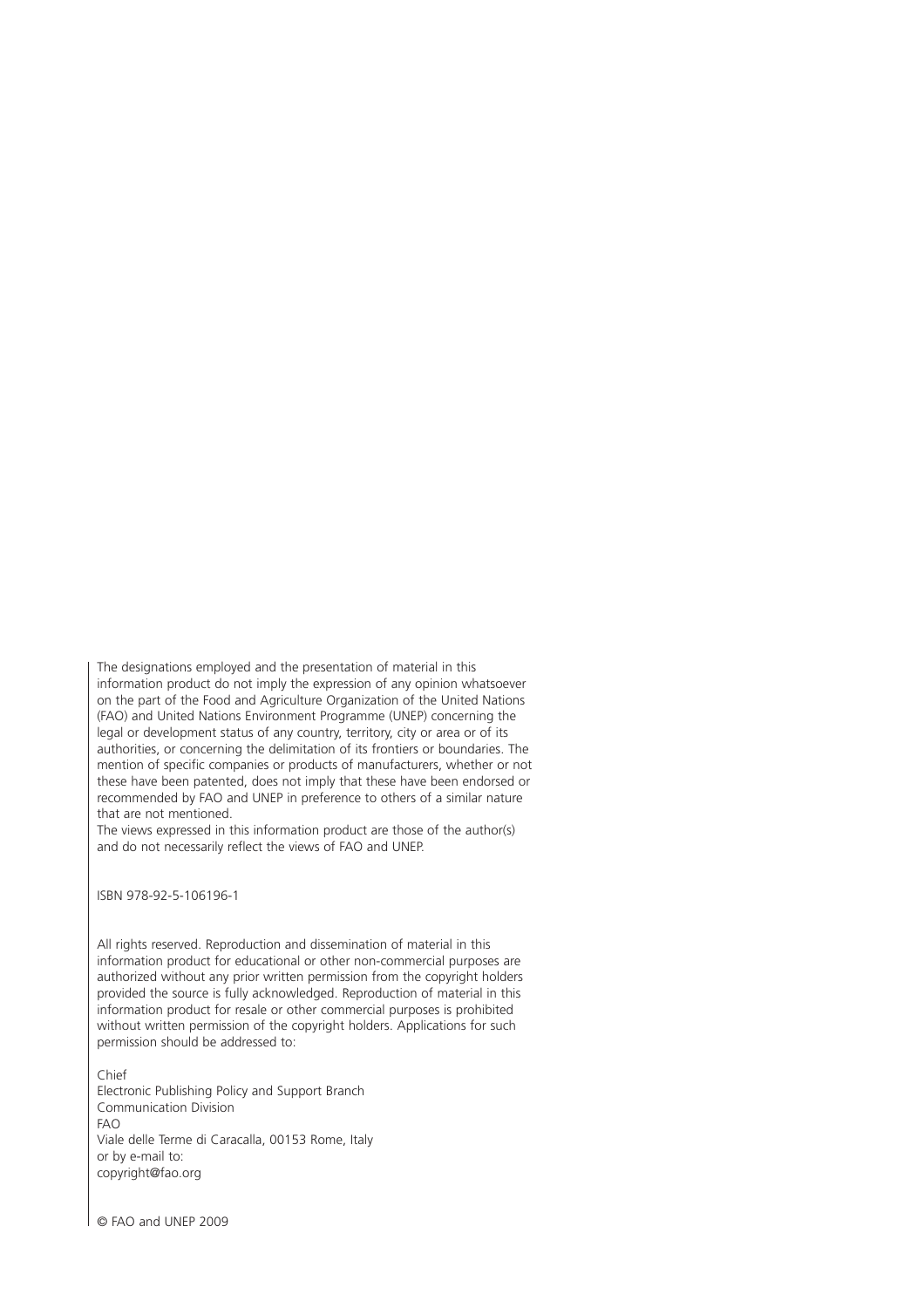The designations employed and the presentation of material in this information product do not imply the expression of any opinion whatsoever on the part of the Food and Agriculture Organization of the United Nations (FAO) and United Nations Environment Programme (UNEP) concerning the legal or development status of any country, territory, city or area or of its authorities, or concerning the delimitation of its frontiers or boundaries. The mention of specific companies or products of manufacturers, whether or not these have been patented, does not imply that these have been endorsed or recommended by FAO and UNEP in preference to others of a similar nature that are not mentioned.

The views expressed in this information product are those of the author(s) and do not necessarily reflect the views of FAO and UNEP.

ISBN 978-92-5-106196-1

All rights reserved. Reproduction and dissemination of material in this information product for educational or other non-commercial purposes are authorized without any prior written permission from the copyright holders provided the source is fully acknowledged. Reproduction of material in this information product for resale or other commercial purposes is prohibited without written permission of the copyright holders. Applications for such permission should be addressed to:

Chief Electronic Publishing Policy and Support Branch Communication Division FAO Viale delle Terme di Caracalla, 00153 Rome, Italy or by e-mail to: copyright@fao.org

© FAO and UNEP 2009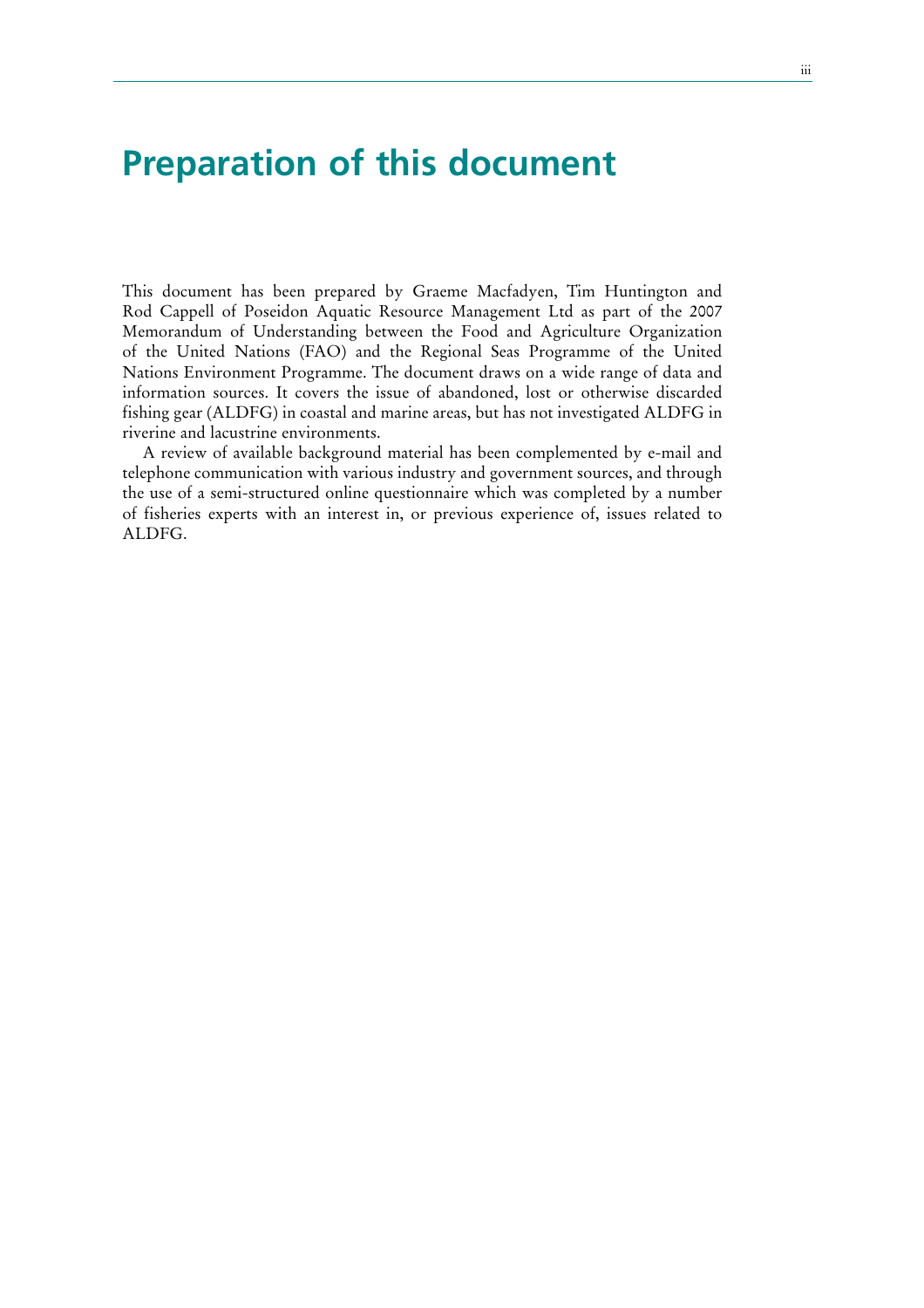### **Preparation of this document**

This document has been prepared by Graeme Macfadyen, Tim Huntington and Rod Cappell of Poseidon Aquatic Resource Management Ltd as part of the 2007 Memorandum of Understanding between the Food and Agriculture Organization of the United Nations (FAO) and the Regional Seas Programme of the United Nations Environment Programme. The document draws on a wide range of data and information sources. It covers the issue of abandoned, lost or otherwise discarded fishing gear (ALDFG) in coastal and marine areas, but has not investigated ALDFG in riverine and lacustrine environments.

A review of available background material has been complemented by e-mail and telephone communication with various industry and government sources, and through the use of a semi-structured online questionnaire which was completed by a number of fisheries experts with an interest in, or previous experience of, issues related to ALDFG.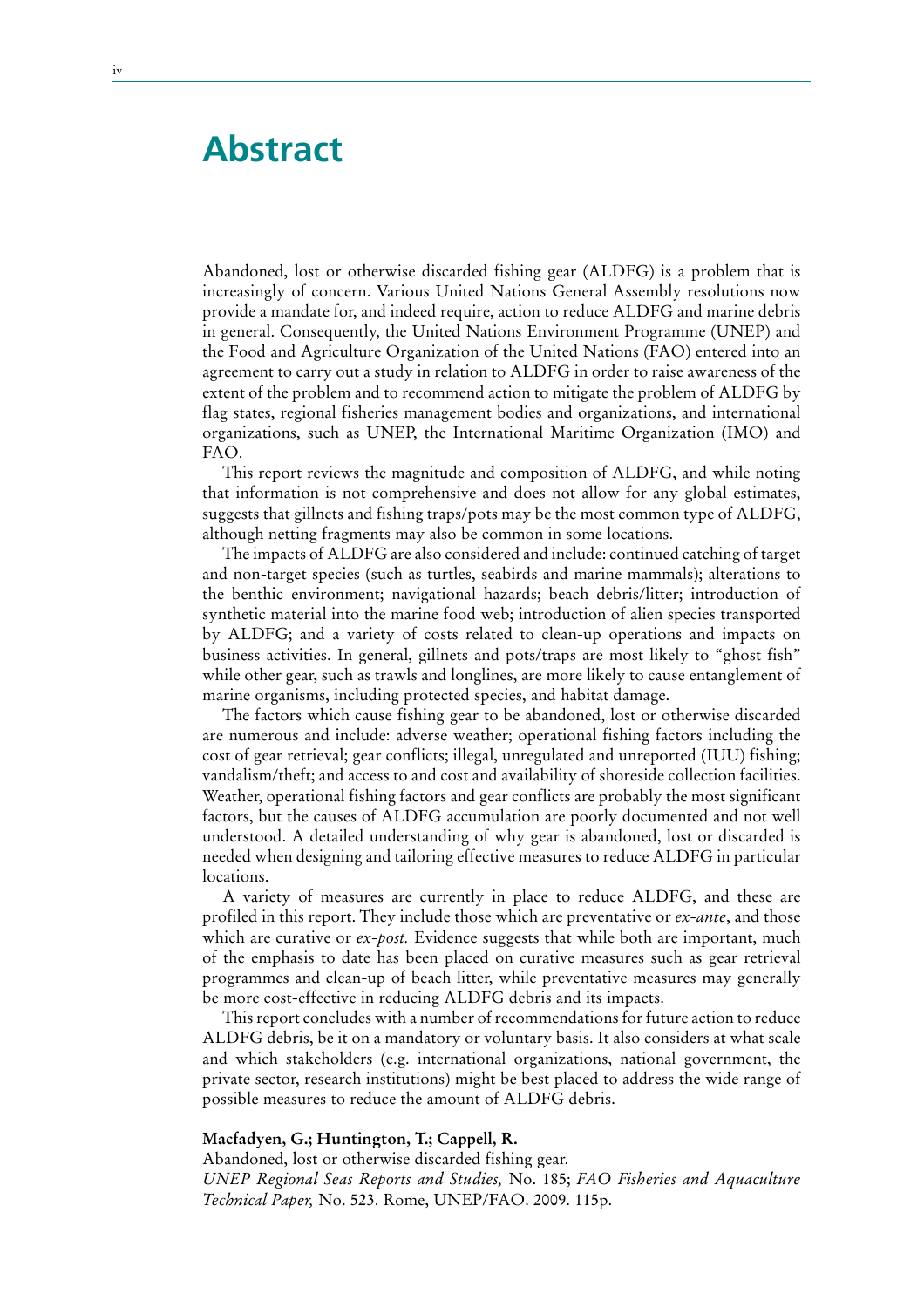### **Abstract**

Abandoned, lost or otherwise discarded fishing gear (ALDFG) is a problem that is increasingly of concern. Various United Nations General Assembly resolutions now provide a mandate for, and indeed require, action to reduce ALDFG and marine debris in general. Consequently, the United Nations Environment Programme (UNEP) and the Food and Agriculture Organization of the United Nations (FAO) entered into an agreement to carry out a study in relation to ALDFG in order to raise awareness of the extent of the problem and to recommend action to mitigate the problem of ALDFG by flag states, regional fisheries management bodies and organizations, and international organizations, such as UNEP, the International Maritime Organization (IMO) and FAO.

This report reviews the magnitude and composition of ALDFG, and while noting that information is not comprehensive and does not allow for any global estimates, suggests that gillnets and fishing traps/pots may be the most common type of ALDFG, although netting fragments may also be common in some locations.

The impacts of ALDFG are also considered and include: continued catching of target and non-target species (such as turtles, seabirds and marine mammals); alterations to the benthic environment; navigational hazards; beach debris/litter; introduction of synthetic material into the marine food web; introduction of alien species transported by ALDFG; and a variety of costs related to clean-up operations and impacts on business activities. In general, gillnets and pots/traps are most likely to "ghost fish" while other gear, such as trawls and longlines, are more likely to cause entanglement of marine organisms, including protected species, and habitat damage.

The factors which cause fishing gear to be abandoned, lost or otherwise discarded are numerous and include: adverse weather; operational fishing factors including the cost of gear retrieval; gear conflicts; illegal, unregulated and unreported (IUU) fishing; vandalism/theft; and access to and cost and availability of shoreside collection facilities. Weather, operational fishing factors and gear conflicts are probably the most significant factors, but the causes of ALDFG accumulation are poorly documented and not well understood. A detailed understanding of why gear is abandoned, lost or discarded is needed when designing and tailoring effective measures to reduce ALDFG in particular locations.

A variety of measures are currently in place to reduce ALDFG, and these are profiled in this report. They include those which are preventative or *ex-ante*, and those which are curative or *ex-post*. Evidence suggests that while both are important, much of the emphasis to date has been placed on curative measures such as gear retrieval programmes and clean-up of beach litter, while preventative measures may generally be more cost-effective in reducing ALDFG debris and its impacts.

This report concludes with a number of recommendations for future action to reduce ALDFG debris, be it on a mandatory or voluntary basis. It also considers at what scale and which stakeholders (e.g. international organizations, national government, the private sector, research institutions) might be best placed to address the wide range of possible measures to reduce the amount of ALDFG debris.

#### **Macfadyen, G.; Huntington, T.; Cappell, R.**

Abandoned, lost or otherwise discarded fishing gear. *UNEP Regional Seas Reports and Studies,* No. 185; *FAO Fisheries and Aquaculture Technical Paper,* No. 523. Rome, UNEP/FAO. 2009. 115p.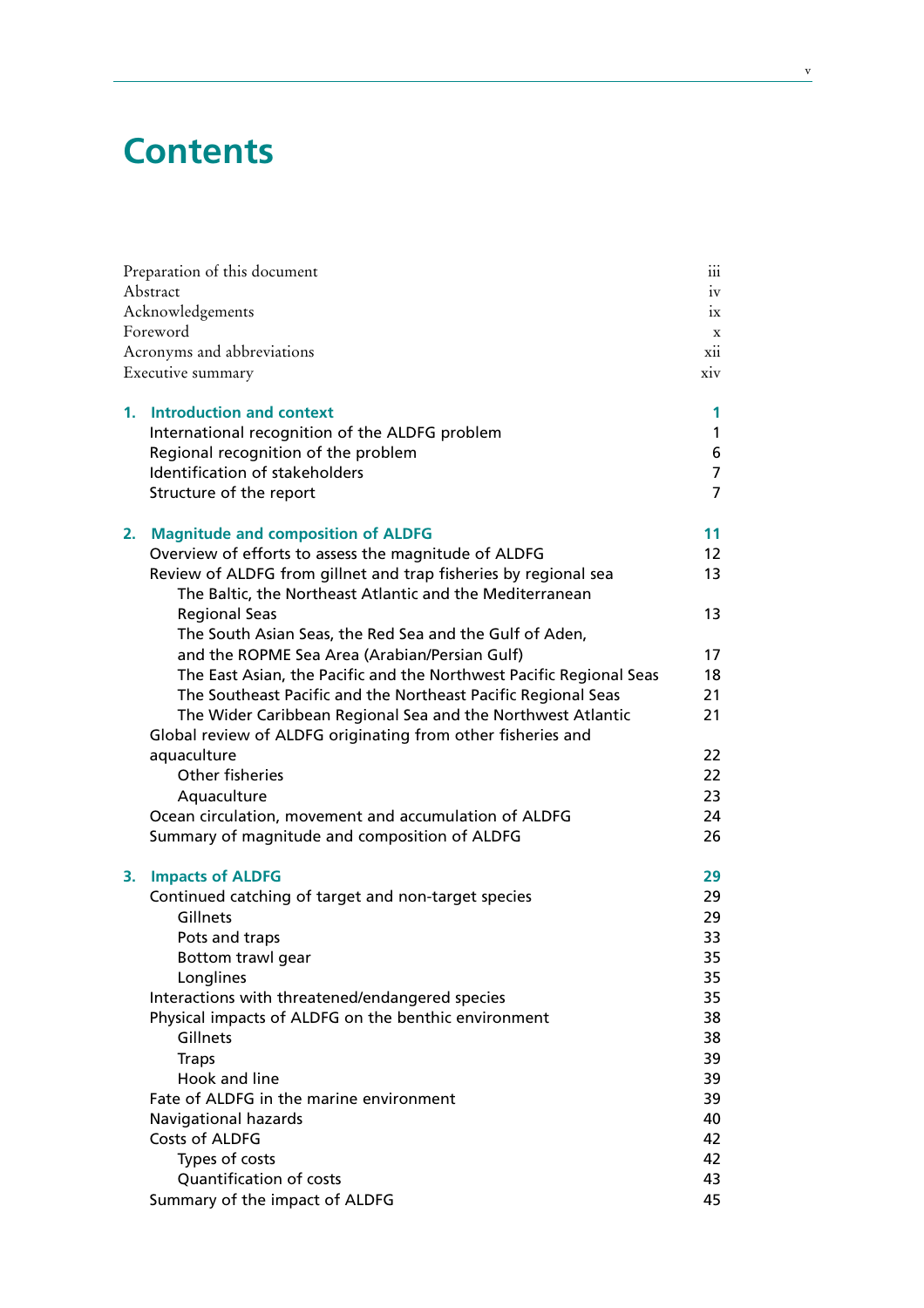## **Contents**

|      | Preparation of this document                                        | $\dddot{\mathbf{u}}$ |  |
|------|---------------------------------------------------------------------|----------------------|--|
|      | Abstract                                                            |                      |  |
|      | Acknowledgements                                                    |                      |  |
|      | Foreword                                                            |                      |  |
|      | Acronyms and abbreviations                                          | xii                  |  |
|      | Executive summary                                                   | xiv                  |  |
|      | 1. Introduction and context                                         | 1                    |  |
|      | International recognition of the ALDFG problem                      | 1                    |  |
|      | Regional recognition of the problem                                 | 6                    |  |
|      | Identification of stakeholders                                      | $\overline{7}$       |  |
|      | Structure of the report                                             | 7                    |  |
| 2. . | <b>Magnitude and composition of ALDFG</b>                           | 11                   |  |
|      | Overview of efforts to assess the magnitude of ALDFG                | 12                   |  |
|      | Review of ALDFG from gillnet and trap fisheries by regional sea     | 13                   |  |
|      | The Baltic, the Northeast Atlantic and the Mediterranean            |                      |  |
|      | <b>Regional Seas</b>                                                | 13                   |  |
|      | The South Asian Seas, the Red Sea and the Gulf of Aden,             |                      |  |
|      | and the ROPME Sea Area (Arabian/Persian Gulf)                       | 17                   |  |
|      | The East Asian, the Pacific and the Northwest Pacific Regional Seas | 18                   |  |
|      | The Southeast Pacific and the Northeast Pacific Regional Seas       | 21                   |  |
|      | The Wider Caribbean Regional Sea and the Northwest Atlantic         | 21                   |  |
|      | Global review of ALDFG originating from other fisheries and         |                      |  |
|      | aquaculture                                                         | 22                   |  |
|      | Other fisheries                                                     | 22                   |  |
|      | Aquaculture                                                         | 23                   |  |
|      | Ocean circulation, movement and accumulation of ALDFG               | 24                   |  |
|      | Summary of magnitude and composition of ALDFG                       | 26                   |  |
| 3.   | <b>Impacts of ALDFG</b>                                             | 29                   |  |
|      | Continued catching of target and non-target species                 | 29                   |  |
|      | Gillnets                                                            | 29                   |  |
|      | Pots and traps                                                      | 33                   |  |
|      | Bottom trawl gear                                                   | 35                   |  |
|      | Longlines                                                           | 35                   |  |
|      | Interactions with threatened/endangered species                     | 35                   |  |
|      | Physical impacts of ALDFG on the benthic environment                | 38                   |  |
|      | Gillnets                                                            | 38                   |  |
|      | <b>Traps</b>                                                        | 39                   |  |
|      | Hook and line                                                       | 39                   |  |
|      | Fate of ALDFG in the marine environment                             | 39                   |  |
|      | Navigational hazards                                                | 40                   |  |
|      | Costs of ALDFG                                                      | 42                   |  |
|      | Types of costs                                                      | 42                   |  |
|      | Quantification of costs                                             | 43                   |  |
|      | Summary of the impact of ALDFG                                      | 45                   |  |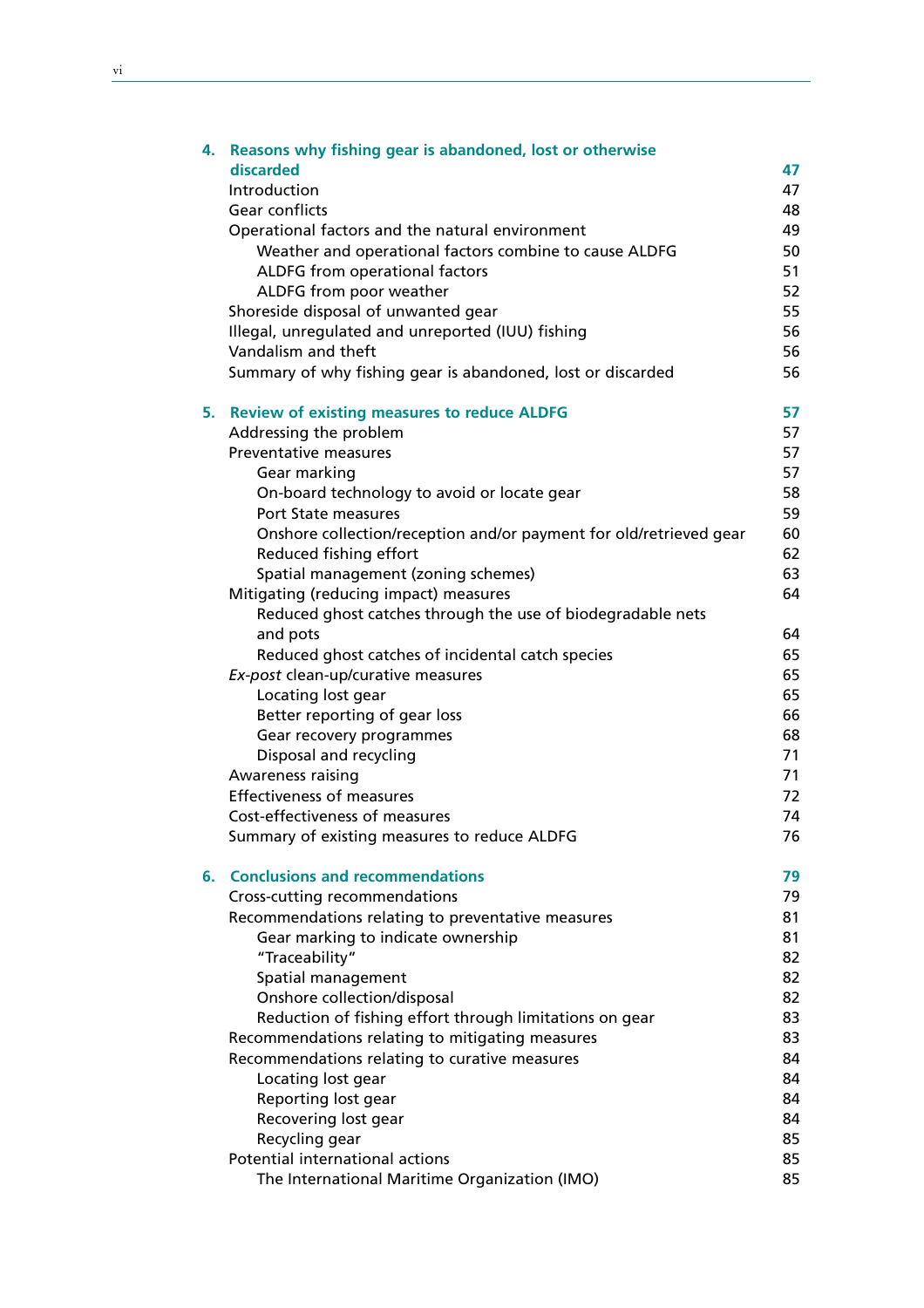|    | 4. Reasons why fishing gear is abandoned, lost or otherwise        |    |  |
|----|--------------------------------------------------------------------|----|--|
|    | discarded                                                          | 47 |  |
|    | Introduction                                                       | 47 |  |
|    | Gear conflicts                                                     | 48 |  |
|    | Operational factors and the natural environment                    | 49 |  |
|    | Weather and operational factors combine to cause ALDFG             | 50 |  |
|    | ALDFG from operational factors                                     | 51 |  |
|    | ALDFG from poor weather                                            | 52 |  |
|    | Shoreside disposal of unwanted gear                                | 55 |  |
|    | Illegal, unregulated and unreported (IUU) fishing                  | 56 |  |
|    | Vandalism and theft                                                | 56 |  |
|    | Summary of why fishing gear is abandoned, lost or discarded        | 56 |  |
| 5. | <b>Review of existing measures to reduce ALDFG</b>                 | 57 |  |
|    | Addressing the problem                                             | 57 |  |
|    | Preventative measures                                              | 57 |  |
|    | Gear marking                                                       | 57 |  |
|    | On-board technology to avoid or locate gear                        | 58 |  |
|    | <b>Port State measures</b>                                         | 59 |  |
|    | Onshore collection/reception and/or payment for old/retrieved gear | 60 |  |
|    | Reduced fishing effort                                             | 62 |  |
|    | Spatial management (zoning schemes)                                | 63 |  |
|    | Mitigating (reducing impact) measures                              | 64 |  |
|    | Reduced ghost catches through the use of biodegradable nets        |    |  |
|    | and pots                                                           | 64 |  |
|    | Reduced ghost catches of incidental catch species                  | 65 |  |
|    | Ex-post clean-up/curative measures                                 | 65 |  |
|    | Locating lost gear                                                 | 65 |  |
|    | Better reporting of gear loss                                      | 66 |  |
|    | Gear recovery programmes                                           | 68 |  |
|    | Disposal and recycling                                             | 71 |  |
|    | Awareness raising                                                  | 71 |  |
|    | <b>Effectiveness of measures</b>                                   | 72 |  |
|    | Cost-effectiveness of measures                                     | 74 |  |
|    | Summary of existing measures to reduce ALDFG                       | 76 |  |
|    | 6. Conclusions and recommendations                                 | 79 |  |
|    | Cross-cutting recommendations                                      | 79 |  |
|    | Recommendations relating to preventative measures                  | 81 |  |
|    | Gear marking to indicate ownership                                 | 81 |  |
|    | "Traceability"                                                     | 82 |  |
|    | Spatial management                                                 | 82 |  |
|    | Onshore collection/disposal                                        | 82 |  |
|    | Reduction of fishing effort through limitations on gear            | 83 |  |
|    | Recommendations relating to mitigating measures                    | 83 |  |
|    | Recommendations relating to curative measures                      | 84 |  |
|    | Locating lost gear                                                 | 84 |  |
|    | Reporting lost gear                                                | 84 |  |
|    | Recovering lost gear                                               | 84 |  |
|    | Recycling gear                                                     | 85 |  |
|    | Potential international actions                                    | 85 |  |
|    | The International Maritime Organization (IMO)                      | 85 |  |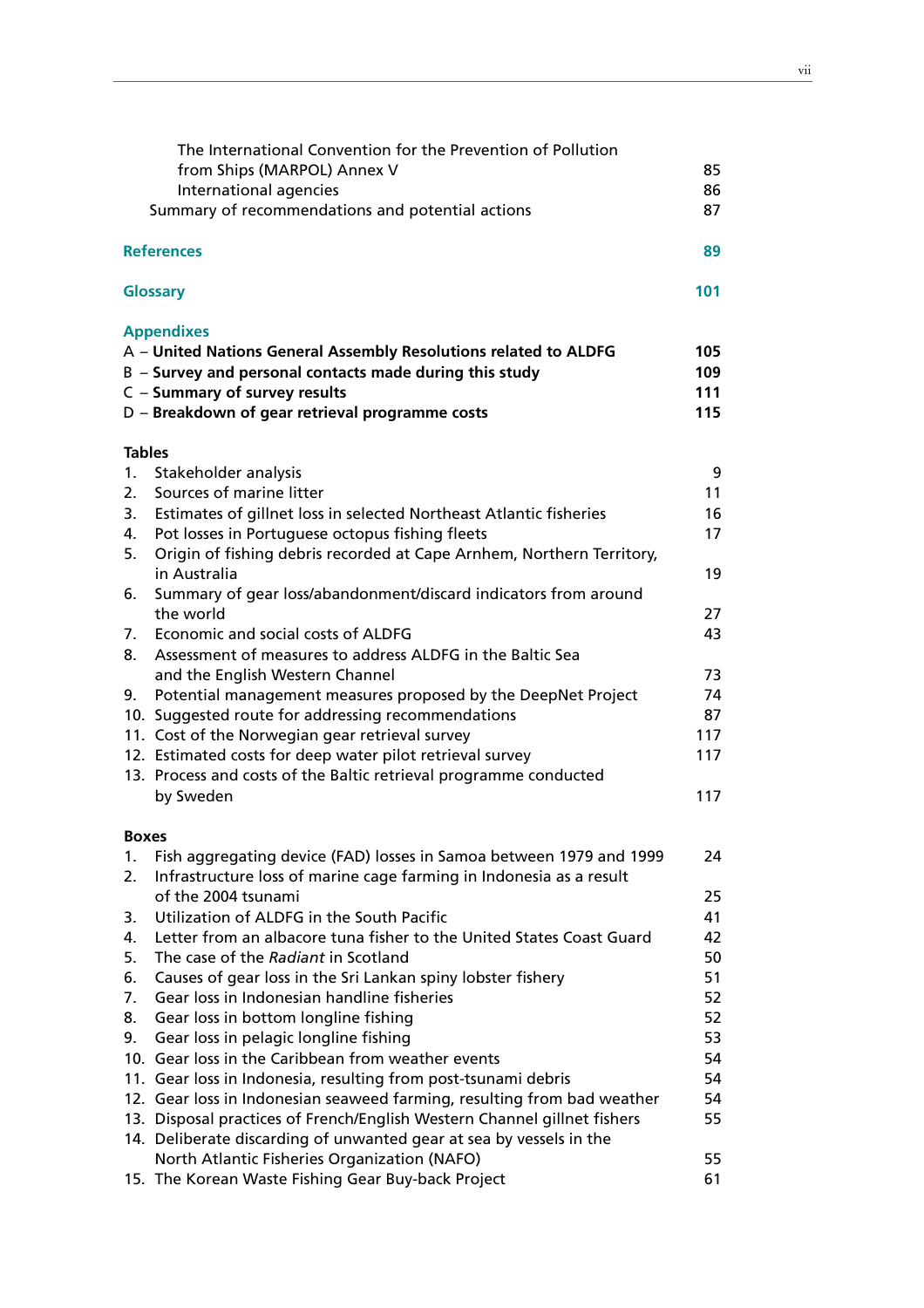|               | The International Convention for the Prevention of Pollution<br>from Ships (MARPOL) Annex V<br>International agencies<br>Summary of recommendations and potential actions | 85<br>86<br>87 |
|---------------|---------------------------------------------------------------------------------------------------------------------------------------------------------------------------|----------------|
|               | <b>References</b>                                                                                                                                                         | 89             |
|               | <b>Glossary</b>                                                                                                                                                           | 101            |
|               | <b>Appendixes</b>                                                                                                                                                         |                |
|               | A - United Nations General Assembly Resolutions related to ALDFG                                                                                                          | 105            |
|               | B - Survey and personal contacts made during this study                                                                                                                   | 109            |
|               | C - Summary of survey results                                                                                                                                             | 111            |
|               | D - Breakdown of gear retrieval programme costs                                                                                                                           | 115            |
| <b>Tables</b> |                                                                                                                                                                           |                |
| 1.            | Stakeholder analysis                                                                                                                                                      | 9              |
| 2.            | Sources of marine litter                                                                                                                                                  | 11             |
| 3.            | Estimates of gillnet loss in selected Northeast Atlantic fisheries                                                                                                        | 16             |
| 4.            | Pot losses in Portuguese octopus fishing fleets                                                                                                                           | 17             |
| 5.            | Origin of fishing debris recorded at Cape Arnhem, Northern Territory,<br>in Australia                                                                                     | 19             |
| 6.            | Summary of gear loss/abandonment/discard indicators from around                                                                                                           |                |
|               | the world                                                                                                                                                                 | 27             |
| 7.            | Economic and social costs of ALDFG                                                                                                                                        | 43             |
| 8.            | Assessment of measures to address ALDFG in the Baltic Sea                                                                                                                 |                |
|               | and the English Western Channel                                                                                                                                           | 73             |
| 9.            | Potential management measures proposed by the DeepNet Project                                                                                                             | 74             |
|               | 10. Suggested route for addressing recommendations                                                                                                                        | 87             |
|               | 11. Cost of the Norwegian gear retrieval survey                                                                                                                           | 117            |
|               | 12. Estimated costs for deep water pilot retrieval survey                                                                                                                 | 117            |
|               | 13. Process and costs of the Baltic retrieval programme conducted                                                                                                         |                |
|               | by Sweden                                                                                                                                                                 | 117            |
| <b>Boxes</b>  |                                                                                                                                                                           |                |
| 1.            | Fish aggregating device (FAD) losses in Samoa between 1979 and 1999                                                                                                       | 24             |
| 2.            | Infrastructure loss of marine cage farming in Indonesia as a result                                                                                                       |                |
|               | of the 2004 tsunami                                                                                                                                                       | 25             |
| 3.            | Utilization of ALDFG in the South Pacific                                                                                                                                 | 41             |
| 4.            | Letter from an albacore tuna fisher to the United States Coast Guard                                                                                                      | 42             |
| 5.            | The case of the Radiant in Scotland                                                                                                                                       | 50             |
| 6.            | Causes of gear loss in the Sri Lankan spiny lobster fishery                                                                                                               | 51             |
| 7.            | Gear loss in Indonesian handline fisheries                                                                                                                                | 52             |
| 8.            | Gear loss in bottom longline fishing                                                                                                                                      | 52             |
| 9.            | Gear loss in pelagic longline fishing                                                                                                                                     | 53             |
|               | 10. Gear loss in the Caribbean from weather events                                                                                                                        | 54             |
|               | 11. Gear loss in Indonesia, resulting from post-tsunami debris                                                                                                            | 54             |
|               | 12. Gear loss in Indonesian seaweed farming, resulting from bad weather                                                                                                   | 54             |
|               | 13. Disposal practices of French/English Western Channel gillnet fishers<br>14. Deliberate discarding of unwanted gear at sea by vessels in the                           | 55             |
|               | North Atlantic Fisheries Organization (NAFO)                                                                                                                              | 55             |
|               | 15. The Korean Waste Fishing Gear Buy-back Project                                                                                                                        | 61             |
|               |                                                                                                                                                                           |                |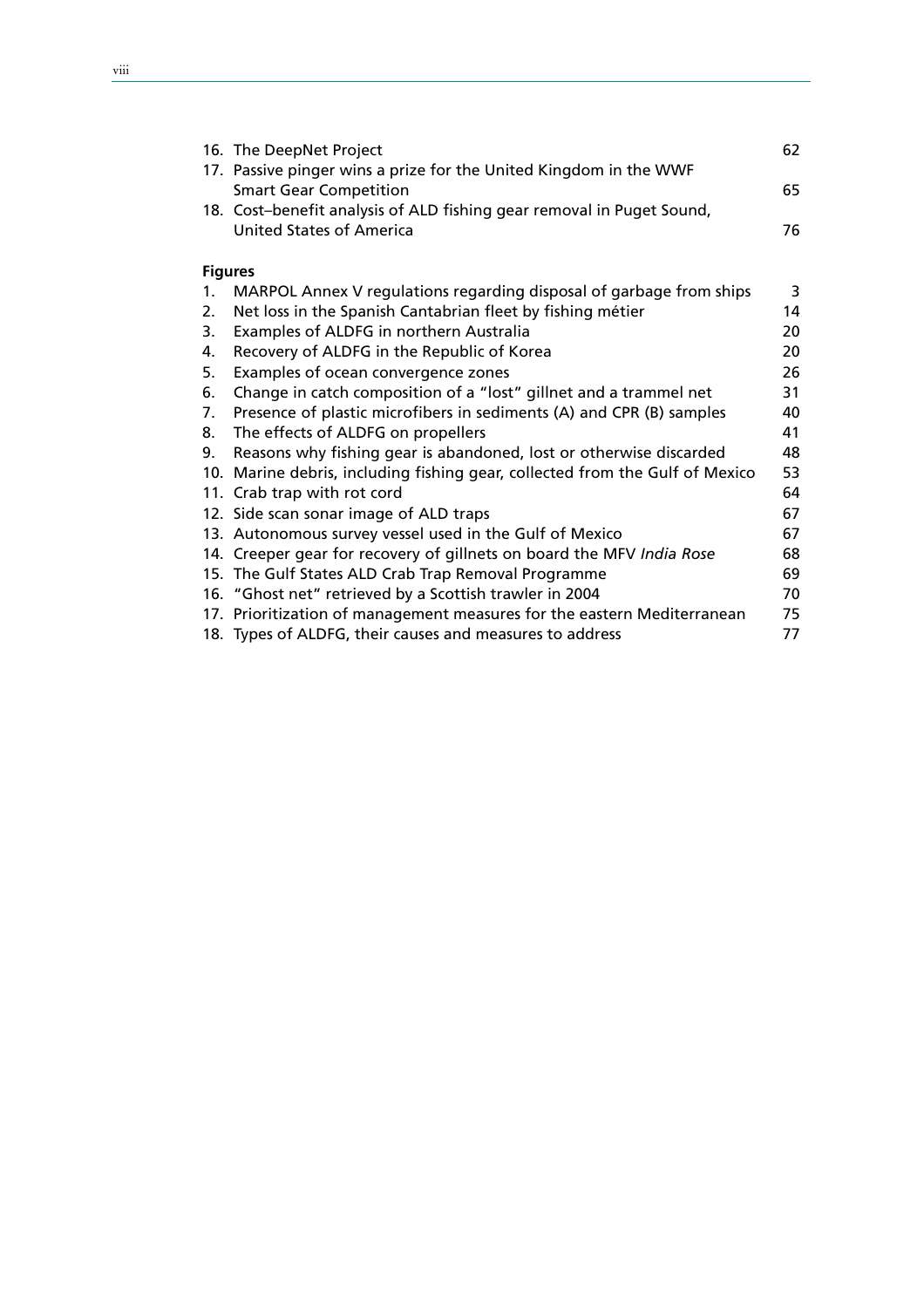|                | 16. The DeepNet Project                                                      | 62 |
|----------------|------------------------------------------------------------------------------|----|
|                | 17. Passive pinger wins a prize for the United Kingdom in the WWF            |    |
|                | <b>Smart Gear Competition</b>                                                | 65 |
|                | 18. Cost-benefit analysis of ALD fishing gear removal in Puget Sound,        |    |
|                | <b>United States of America</b>                                              | 76 |
|                |                                                                              |    |
|                | <b>Figures</b>                                                               |    |
| 1.             | MARPOL Annex V regulations regarding disposal of garbage from ships          | 3  |
| 2.             | Net loss in the Spanish Cantabrian fleet by fishing métier                   | 14 |
| 3.             | Examples of ALDFG in northern Australia                                      | 20 |
| 4.             | Recovery of ALDFG in the Republic of Korea                                   | 20 |
| 5.             | Examples of ocean convergence zones                                          | 26 |
| 6.             | Change in catch composition of a "lost" gillnet and a trammel net            | 31 |
| 7 <sub>1</sub> | Presence of plastic microfibers in sediments (A) and CPR (B) samples         | 40 |
| 8.             | The effects of ALDFG on propellers                                           | 41 |
| 9.             | Reasons why fishing gear is abandoned, lost or otherwise discarded           | 48 |
|                | 10. Marine debris, including fishing gear, collected from the Gulf of Mexico | 53 |
|                | 11. Crab trap with rot cord                                                  | 64 |
|                | 12. Side scan sonar image of ALD traps                                       | 67 |
|                | 13. Autonomous survey vessel used in the Gulf of Mexico                      | 67 |
|                | 14. Creeper gear for recovery of gillnets on board the MFV India Rose        | 68 |
|                | 15. The Gulf States ALD Crab Trap Removal Programme                          | 69 |
|                | 16. "Ghost net" retrieved by a Scottish trawler in 2004                      | 70 |
|                | 17. Prioritization of management measures for the eastern Mediterranean      | 75 |
|                | 18. Types of ALDFG, their causes and measures to address                     | 77 |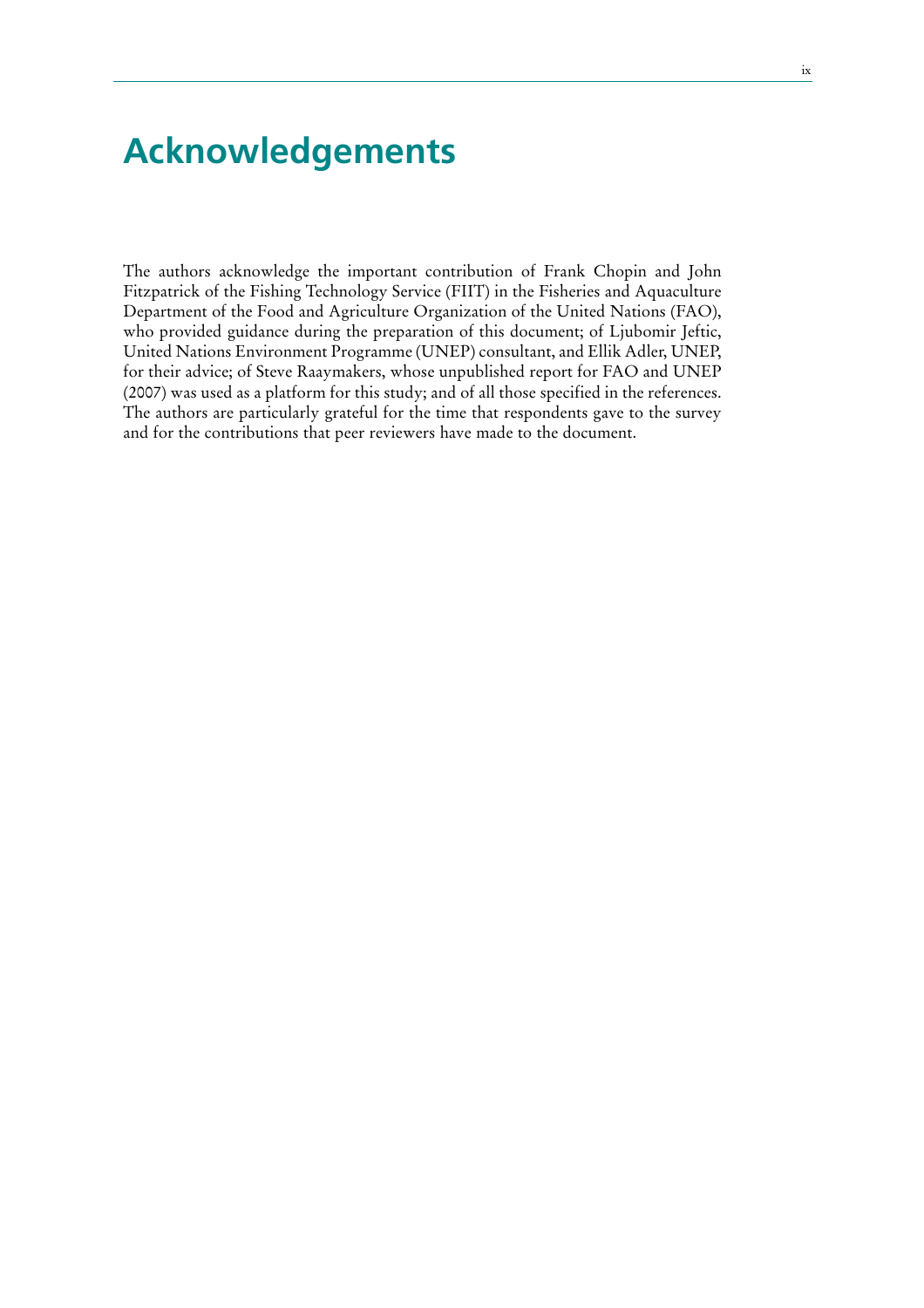## **Acknowledgements**

The authors acknowledge the important contribution of Frank Chopin and John Fitzpatrick of the Fishing Technology Service (FIIT) in the Fisheries and Aquaculture Department of the Food and Agriculture Organization of the United Nations (FAO), who provided guidance during the preparation of this document; of Ljubomir Jeftic, United Nations Environment Programme (UNEP) consultant, and Ellik Adler, UNEP, for their advice; of Steve Raaymakers, whose unpublished report for FAO and UNEP (2007) was used as a platform for this study; and of all those specified in the references. The authors are particularly grateful for the time that respondents gave to the survey and for the contributions that peer reviewers have made to the document.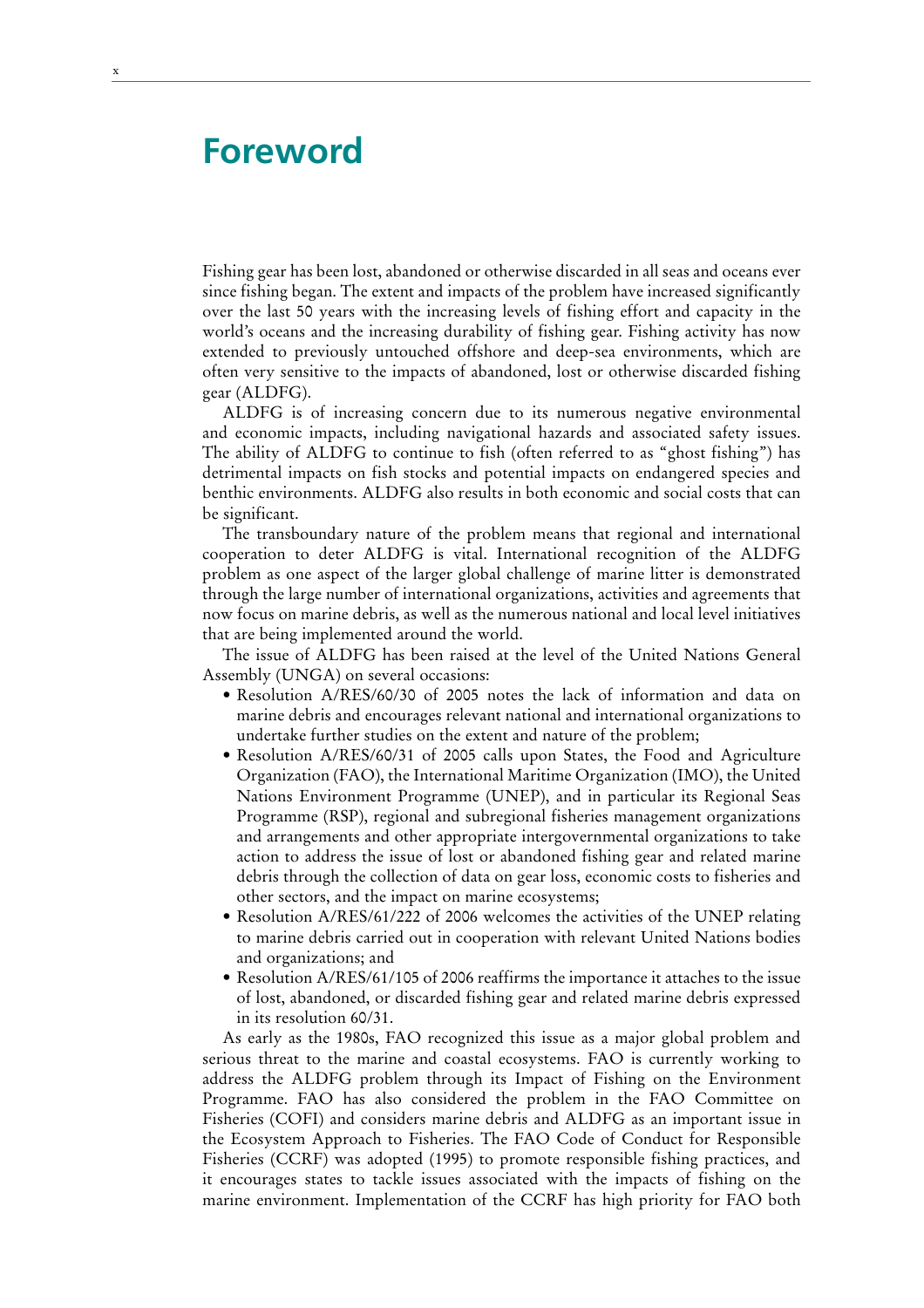### **Foreword**

Fishing gear has been lost, abandoned or otherwise discarded in all seas and oceans ever since fishing began. The extent and impacts of the problem have increased significantly over the last 50 years with the increasing levels of fishing effort and capacity in the world's oceans and the increasing durability of fishing gear. Fishing activity has now extended to previously untouched offshore and deep-sea environments, which are often very sensitive to the impacts of abandoned, lost or otherwise discarded fishing gear (ALDFG).

ALDFG is of increasing concern due to its numerous negative environmental and economic impacts, including navigational hazards and associated safety issues. The ability of ALDFG to continue to fish (often referred to as "ghost fishing") has detrimental impacts on fish stocks and potential impacts on endangered species and benthic environments. ALDFG also results in both economic and social costs that can be significant.

The transboundary nature of the problem means that regional and international cooperation to deter ALDFG is vital. International recognition of the ALDFG problem as one aspect of the larger global challenge of marine litter is demonstrated through the large number of international organizations, activities and agreements that now focus on marine debris, as well as the numerous national and local level initiatives that are being implemented around the world.

The issue of ALDFG has been raised at the level of the United Nations General Assembly (UNGA) on several occasions:

- Resolution A/RES/60/30 of 2005 notes the lack of information and data on marine debris and encourages relevant national and international organizations to undertake further studies on the extent and nature of the problem;
- Resolution A/RES/60/31 of 2005 calls upon States, the Food and Agriculture Organization (FAO), the International Maritime Organization (IMO), the United Nations Environment Programme (UNEP), and in particular its Regional Seas Programme (RSP), regional and subregional fisheries management organizations and arrangements and other appropriate intergovernmental organizations to take action to address the issue of lost or abandoned fishing gear and related marine debris through the collection of data on gear loss, economic costs to fisheries and other sectors, and the impact on marine ecosystems;
- Resolution A/RES/61/222 of 2006 welcomes the activities of the UNEP relating to marine debris carried out in cooperation with relevant United Nations bodies and organizations; and
- Resolution A/RES/61/105 of 2006 reaffirms the importance it attaches to the issue of lost, abandoned, or discarded fishing gear and related marine debris expressed in its resolution 60/31.

As early as the 1980s, FAO recognized this issue as a major global problem and serious threat to the marine and coastal ecosystems. FAO is currently working to address the ALDFG problem through its Impact of Fishing on the Environment Programme. FAO has also considered the problem in the FAO Committee on Fisheries (COFI) and considers marine debris and ALDFG as an important issue in the Ecosystem Approach to Fisheries. The FAO Code of Conduct for Responsible Fisheries (CCRF) was adopted (1995) to promote responsible fishing practices, and it encourages states to tackle issues associated with the impacts of fishing on the marine environment. Implementation of the CCRF has high priority for FAO both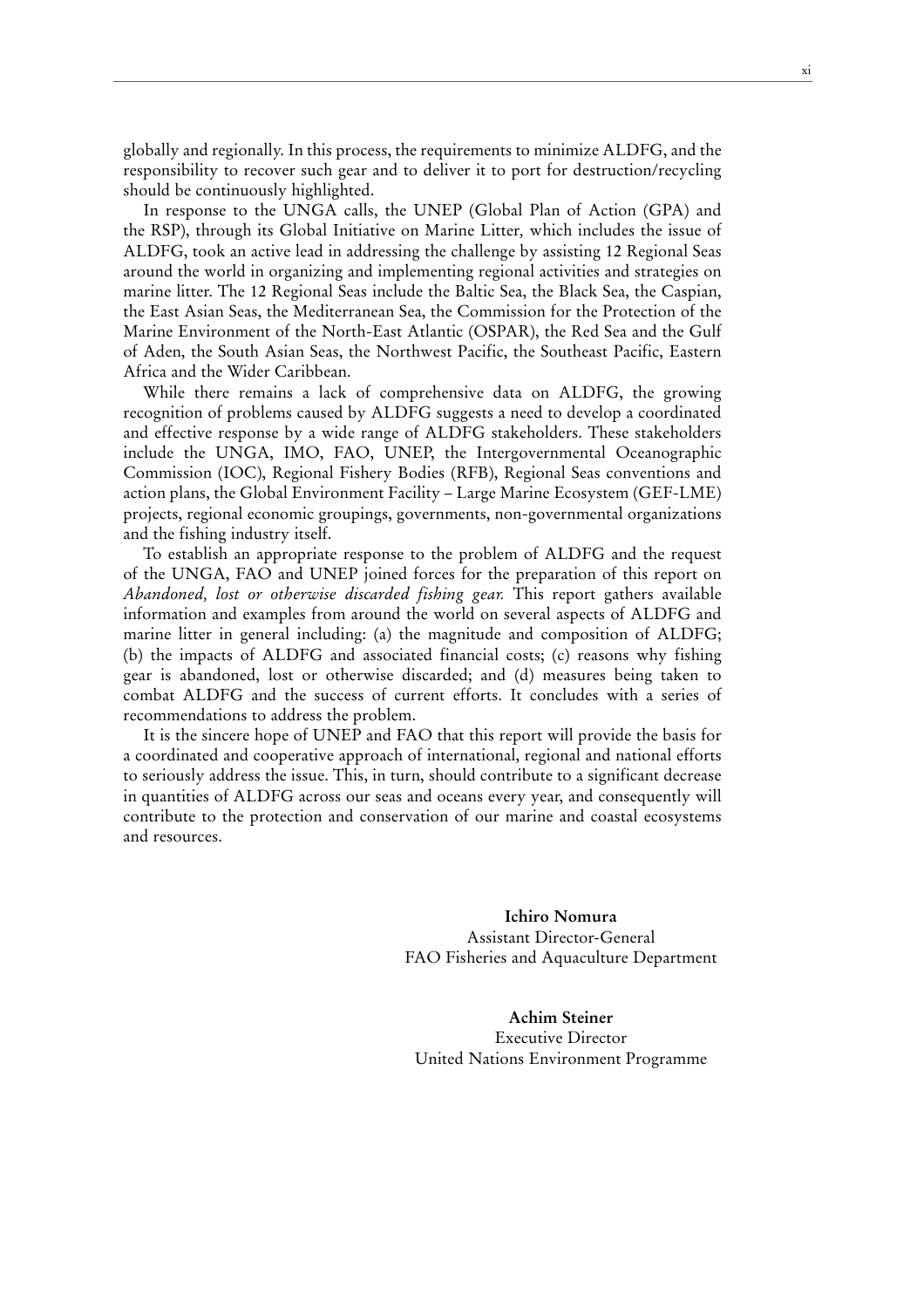globally and regionally. In this process, the requirements to minimize ALDFG, and the responsibility to recover such gear and to deliver it to port for destruction/recycling should be continuously highlighted.

In response to the UNGA calls, the UNEP (Global Plan of Action (GPA) and the RSP), through its Global Initiative on Marine Litter*,* which includes the issue of ALDFG, took an active lead in addressing the challenge by assisting 12 Regional Seas around the world in organizing and implementing regional activities and strategies on marine litter. The 12 Regional Seas include the Baltic Sea, the Black Sea, the Caspian, the East Asian Seas, the Mediterranean Sea, the Commission for the Protection of the Marine Environment of the North-East Atlantic (OSPAR), the Red Sea and the Gulf of Aden, the South Asian Seas, the Northwest Pacific, the Southeast Pacific, Eastern Africa and the Wider Caribbean.

While there remains a lack of comprehensive data on ALDFG, the growing recognition of problems caused by ALDFG suggests a need to develop a coordinated and effective response by a wide range of ALDFG stakeholders. These stakeholders include the UNGA, IMO, FAO, UNEP, the Intergovernmental Oceanographic Commission (IOC), Regional Fishery Bodies (RFB), Regional Seas conventions and action plans, the Global Environment Facility – Large Marine Ecosystem (GEF-LME) projects, regional economic groupings, governments, non-governmental organizations and the fishing industry itself.

To establish an appropriate response to the problem of ALDFG and the request of the UNGA, FAO and UNEP joined forces for the preparation of this report on *Abandoned, lost or otherwise discarded fishing gear.* This report gathers available information and examples from around the world on several aspects of ALDFG and marine litter in general including: (a) the magnitude and composition of ALDFG; (b) the impacts of ALDFG and associated financial costs; (c) reasons why fishing gear is abandoned, lost or otherwise discarded; and (d) measures being taken to combat ALDFG and the success of current efforts. It concludes with a series of recommendations to address the problem.

It is the sincere hope of UNEP and FAO that this report will provide the basis for a coordinated and cooperative approach of international, regional and national efforts to seriously address the issue. This, in turn, should contribute to a significant decrease in quantities of ALDFG across our seas and oceans every year, and consequently will contribute to the protection and conservation of our marine and coastal ecosystems and resources.

> **Ichiro Nomura** Assistant Director-General FAO Fisheries and Aquaculture Department

**Achim Steiner** Executive Director United Nations Environment Programme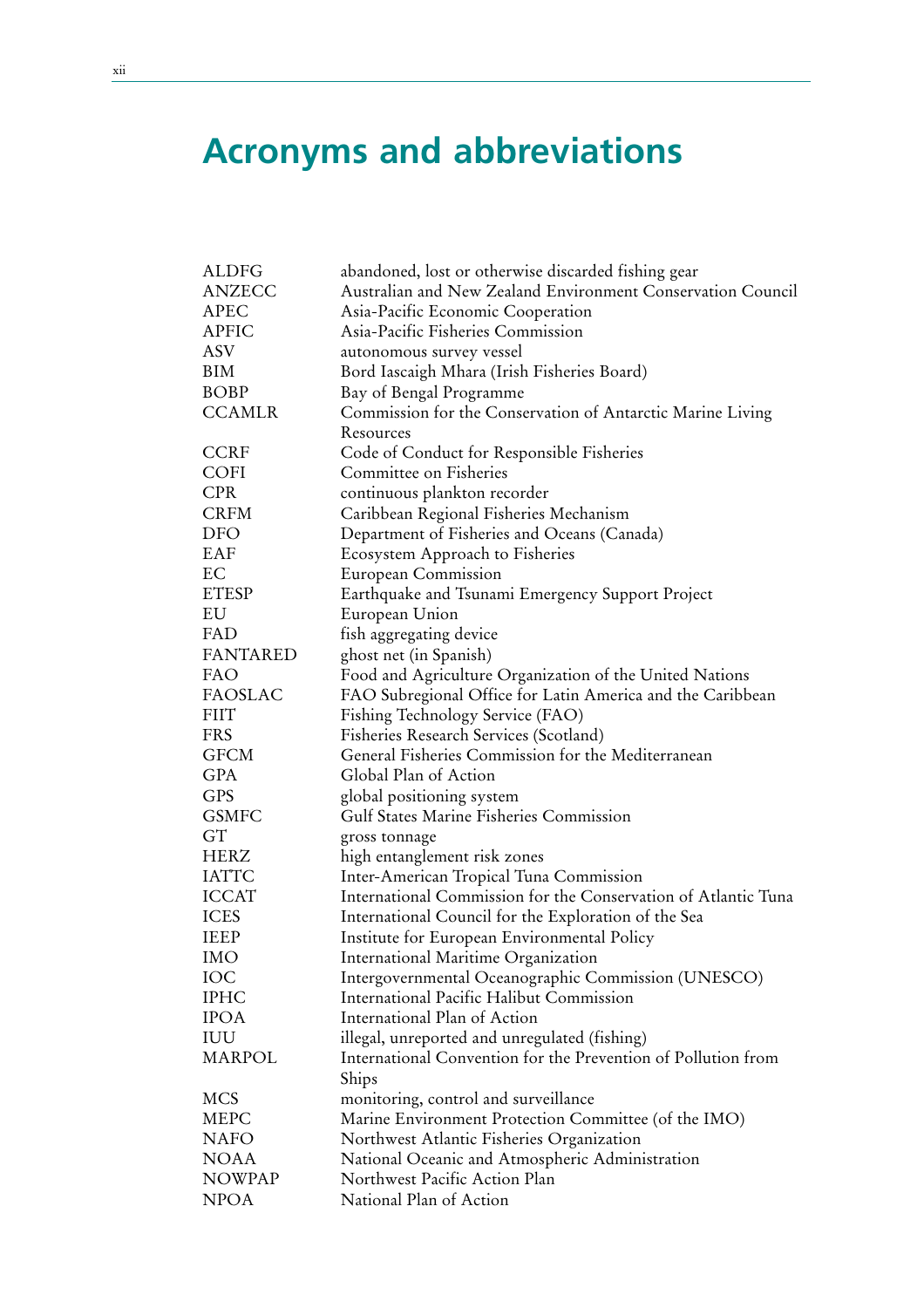# **Acronyms and abbreviations**

| <b>ALDFG</b>    | abandoned, lost or otherwise discarded fishing gear            |
|-----------------|----------------------------------------------------------------|
| <b>ANZECC</b>   | Australian and New Zealand Environment Conservation Council    |
| APEC            | Asia-Pacific Economic Cooperation                              |
| <b>APFIC</b>    | Asia-Pacific Fisheries Commission                              |
| ASV             | autonomous survey vessel                                       |
| <b>BIM</b>      | Bord Iascaigh Mhara (Irish Fisheries Board)                    |
| <b>BOBP</b>     | Bay of Bengal Programme                                        |
| <b>CCAMLR</b>   | Commission for the Conservation of Antarctic Marine Living     |
|                 | Resources                                                      |
| <b>CCRF</b>     | Code of Conduct for Responsible Fisheries                      |
| <b>COFI</b>     | Committee on Fisheries                                         |
| <b>CPR</b>      | continuous plankton recorder                                   |
| <b>CRFM</b>     | Caribbean Regional Fisheries Mechanism                         |
| DFO             | Department of Fisheries and Oceans (Canada)                    |
| EAF             | Ecosystem Approach to Fisheries                                |
| EC              | European Commission                                            |
| <b>ETESP</b>    | Earthquake and Tsunami Emergency Support Project               |
| EU              | European Union                                                 |
| FAD             | fish aggregating device                                        |
| <b>FANTARED</b> | ghost net (in Spanish)                                         |
| FAO             | Food and Agriculture Organization of the United Nations        |
| <b>FAOSLAC</b>  | FAO Subregional Office for Latin America and the Caribbean     |
| <b>FIIT</b>     | Fishing Technology Service (FAO)                               |
| <b>FRS</b>      | Fisheries Research Services (Scotland)                         |
| <b>GFCM</b>     | General Fisheries Commission for the Mediterranean             |
| <b>GPA</b>      | Global Plan of Action                                          |
| <b>GPS</b>      | global positioning system                                      |
| <b>GSMFC</b>    | <b>Gulf States Marine Fisheries Commission</b>                 |
| GT              | gross tonnage                                                  |
| HERZ            | high entanglement risk zones                                   |
| <b>IATTC</b>    | Inter-American Tropical Tuna Commission                        |
| <b>ICCAT</b>    | International Commission for the Conservation of Atlantic Tuna |
| <b>ICES</b>     | International Council for the Exploration of the Sea           |
| <b>IEEP</b>     | Institute for European Environmental Policy                    |
| IMO             | International Maritime Organization                            |
| IOC             | Intergovernmental Oceanographic Commission (UNESCO)            |
| <b>IPHC</b>     | International Pacific Halibut Commission                       |
| IPOA            | International Plan of Action                                   |
| IUU             | illegal, unreported and unregulated (fishing)                  |
| MARPOL          | International Convention for the Prevention of Pollution from  |
|                 | Ships                                                          |
| <b>MCS</b>      | monitoring, control and surveillance                           |
| MEPC            | Marine Environment Protection Committee (of the IMO)           |
| <b>NAFO</b>     | Northwest Atlantic Fisheries Organization                      |
| <b>NOAA</b>     | National Oceanic and Atmospheric Administration                |
| NOWPAP          | Northwest Pacific Action Plan                                  |
| <b>NPOA</b>     | National Plan of Action                                        |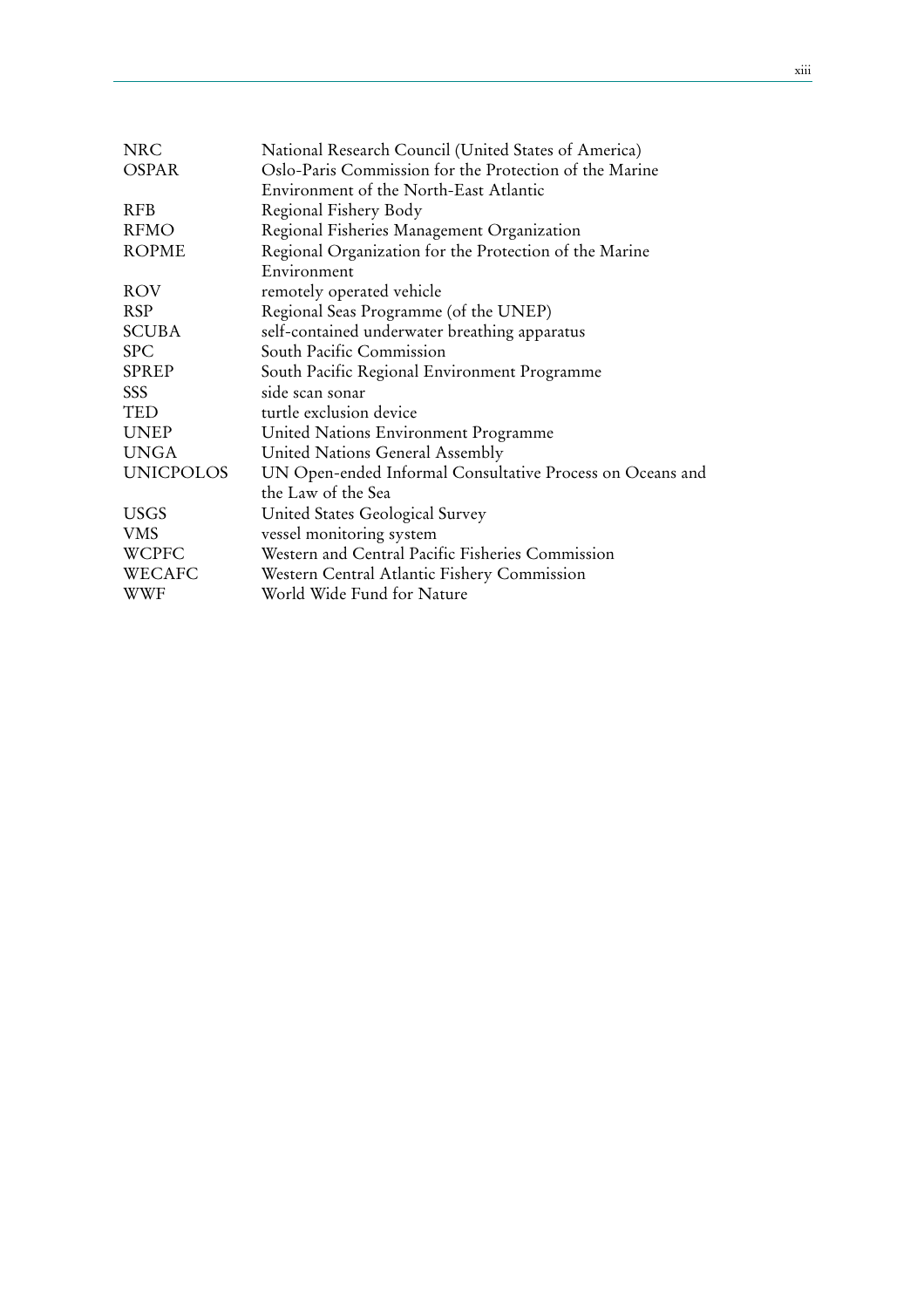| <b>NRC</b>       | National Research Council (United States of America)      |
|------------------|-----------------------------------------------------------|
| <b>OSPAR</b>     | Oslo-Paris Commission for the Protection of the Marine    |
|                  | Environment of the North-East Atlantic                    |
| <b>RFB</b>       | Regional Fishery Body                                     |
| <b>RFMO</b>      | Regional Fisheries Management Organization                |
| <b>ROPME</b>     | Regional Organization for the Protection of the Marine    |
|                  | Environment                                               |
| <b>ROV</b>       | remotely operated vehicle                                 |
| RSP              | Regional Seas Programme (of the UNEP)                     |
| <b>SCUBA</b>     | self-contained underwater breathing apparatus             |
| <b>SPC</b>       | South Pacific Commission                                  |
| <b>SPREP</b>     | South Pacific Regional Environment Programme              |
| SSS              | side scan sonar                                           |
| TED              | turtle exclusion device                                   |
| <b>UNEP</b>      | United Nations Environment Programme                      |
| <b>UNGA</b>      | United Nations General Assembly                           |
| <b>UNICPOLOS</b> | UN Open-ended Informal Consultative Process on Oceans and |
|                  | the Law of the Sea                                        |
| <b>USGS</b>      | United States Geological Survey                           |
| <b>VMS</b>       | vessel monitoring system                                  |
| WCPFC            | Western and Central Pacific Fisheries Commission          |
| WECAFC           | Western Central Atlantic Fishery Commission               |
| <b>WWF</b>       | World Wide Fund for Nature                                |
|                  |                                                           |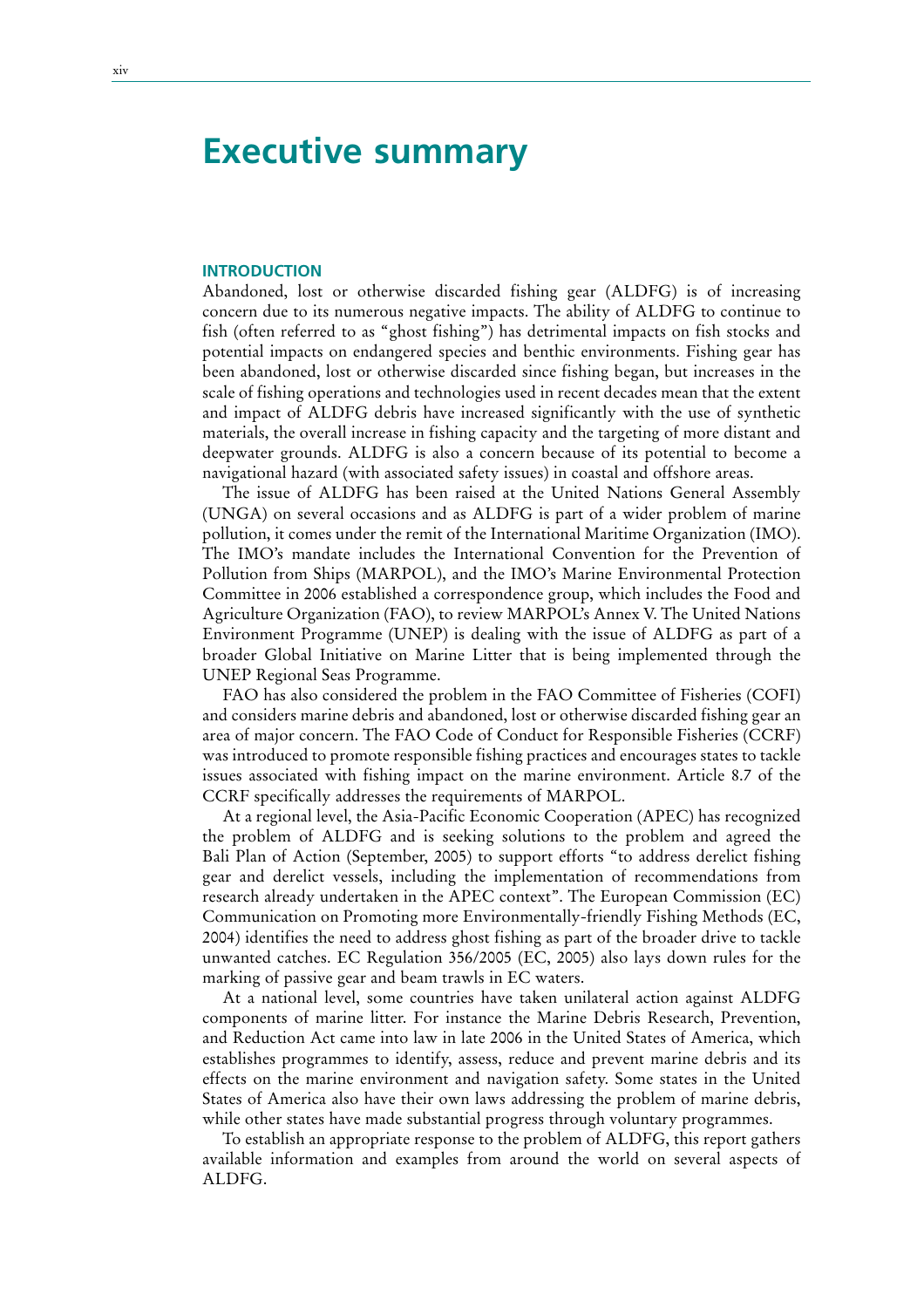### **Executive summary**

#### **INTRODUCTION**

Abandoned, lost or otherwise discarded fishing gear (ALDFG) is of increasing concern due to its numerous negative impacts. The ability of ALDFG to continue to fish (often referred to as "ghost fishing") has detrimental impacts on fish stocks and potential impacts on endangered species and benthic environments. Fishing gear has been abandoned, lost or otherwise discarded since fishing began, but increases in the scale of fishing operations and technologies used in recent decades mean that the extent and impact of ALDFG debris have increased significantly with the use of synthetic materials, the overall increase in fishing capacity and the targeting of more distant and deepwater grounds. ALDFG is also a concern because of its potential to become a navigational hazard (with associated safety issues) in coastal and offshore areas.

The issue of ALDFG has been raised at the United Nations General Assembly (UNGA) on several occasions and as ALDFG is part of a wider problem of marine pollution, it comes under the remit of the International Maritime Organization (IMO). The IMO's mandate includes the International Convention for the Prevention of Pollution from Ships (MARPOL), and the IMO's Marine Environmental Protection Committee in 2006 established a correspondence group, which includes the Food and Agriculture Organization (FAO), to review MARPOL's Annex V. The United Nations Environment Programme (UNEP) is dealing with the issue of ALDFG as part of a broader Global Initiative on Marine Litter that is being implemented through the UNEP Regional Seas Programme.

FAO has also considered the problem in the FAO Committee of Fisheries (COFI) and considers marine debris and abandoned, lost or otherwise discarded fishing gear an area of major concern. The FAO Code of Conduct for Responsible Fisheries (CCRF) was introduced to promote responsible fishing practices and encourages states to tackle issues associated with fishing impact on the marine environment. Article 8.7 of the CCRF specifically addresses the requirements of MARPOL.

At a regional level, the Asia-Pacific Economic Cooperation (APEC) has recognized the problem of ALDFG and is seeking solutions to the problem and agreed the Bali Plan of Action (September, 2005) to support efforts "to address derelict fishing gear and derelict vessels, including the implementation of recommendations from research already undertaken in the APEC context". The European Commission (EC) Communication on Promoting more Environmentally-friendly Fishing Methods (EC, 2004) identifies the need to address ghost fishing as part of the broader drive to tackle unwanted catches. EC Regulation 356/2005 (EC, 2005) also lays down rules for the marking of passive gear and beam trawls in EC waters.

At a national level, some countries have taken unilateral action against ALDFG components of marine litter. For instance the Marine Debris Research, Prevention, and Reduction Act came into law in late 2006 in the United States of America, which establishes programmes to identify, assess, reduce and prevent marine debris and its effects on the marine environment and navigation safety. Some states in the United States of America also have their own laws addressing the problem of marine debris, while other states have made substantial progress through voluntary programmes.

To establish an appropriate response to the problem of ALDFG, this report gathers available information and examples from around the world on several aspects of ALDFG.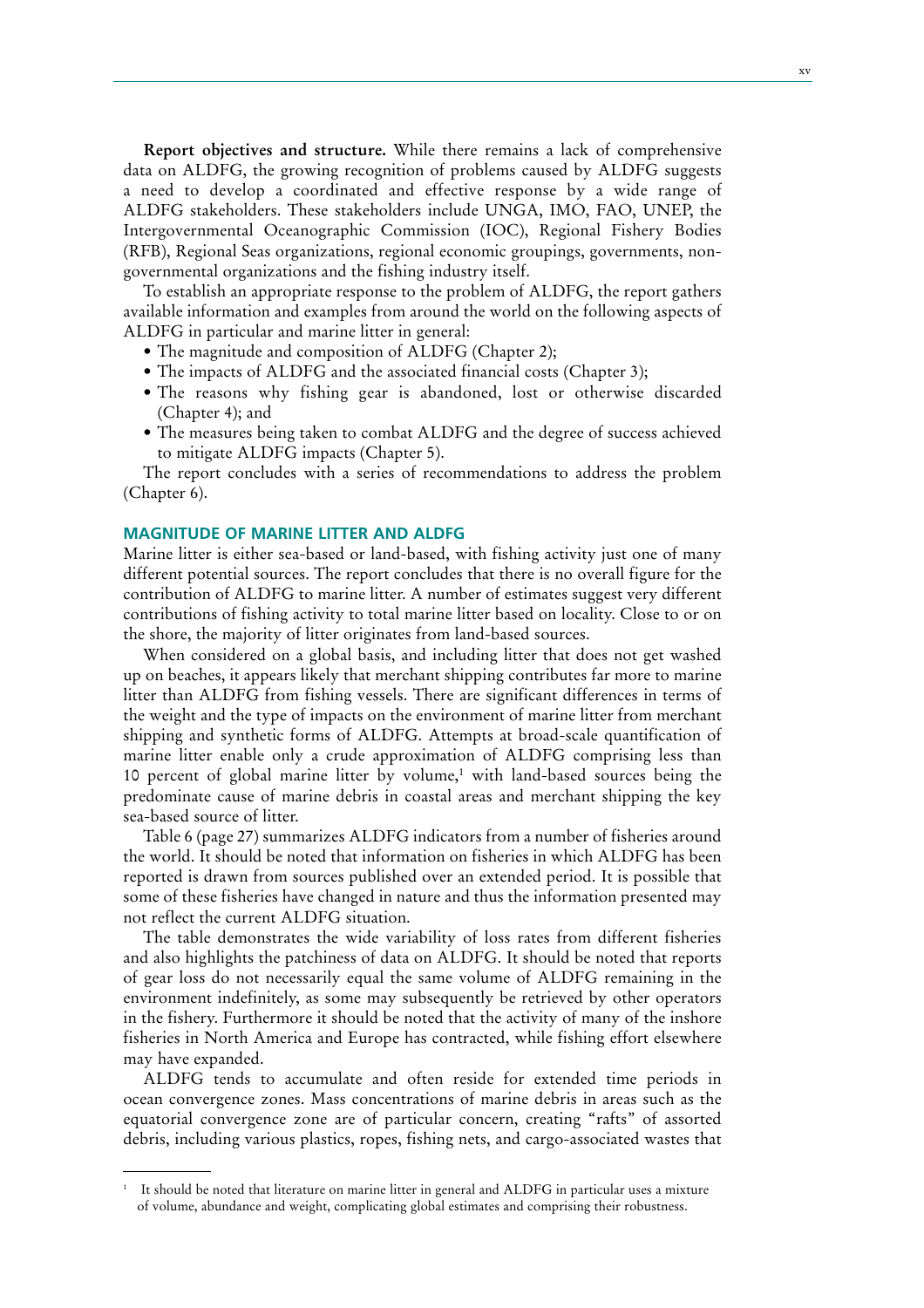**Report objectives and structure.** While there remains a lack of comprehensive data on ALDFG, the growing recognition of problems caused by ALDFG suggests a need to develop a coordinated and effective response by a wide range of ALDFG stakeholders. These stakeholders include UNGA, IMO, FAO, UNEP, the Intergovernmental Oceanographic Commission (IOC), Regional Fishery Bodies (RFB), Regional Seas organizations, regional economic groupings, governments, nongovernmental organizations and the fishing industry itself.

To establish an appropriate response to the problem of ALDFG, the report gathers available information and examples from around the world on the following aspects of ALDFG in particular and marine litter in general:

- The magnitude and composition of ALDFG (Chapter 2);
- The impacts of ALDFG and the associated financial costs (Chapter 3);
- The reasons why fishing gear is abandoned, lost or otherwise discarded (Chapter 4); and
- The measures being taken to combat ALDFG and the degree of success achieved to mitigate ALDFG impacts (Chapter 5).

The report concludes with a series of recommendations to address the problem (Chapter 6).

#### **MAGNITUDE OF MARINE LITTER AND ALDFG**

Marine litter is either sea-based or land-based, with fishing activity just one of many different potential sources. The report concludes that there is no overall figure for the contribution of ALDFG to marine litter. A number of estimates suggest very different contributions of fishing activity to total marine litter based on locality. Close to or on the shore, the majority of litter originates from land-based sources.

When considered on a global basis, and including litter that does not get washed up on beaches, it appears likely that merchant shipping contributes far more to marine litter than ALDFG from fishing vessels. There are significant differences in terms of the weight and the type of impacts on the environment of marine litter from merchant shipping and synthetic forms of ALDFG. Attempts at broad-scale quantification of marine litter enable only a crude approximation of ALDFG comprising less than 10 percent of global marine litter by volume,<sup>1</sup> with land-based sources being the predominate cause of marine debris in coastal areas and merchant shipping the key sea-based source of litter.

Table 6 (page 27) summarizes ALDFG indicators from a number of fisheries around the world. It should be noted that information on fisheries in which ALDFG has been reported is drawn from sources published over an extended period. It is possible that some of these fisheries have changed in nature and thus the information presented may not reflect the current ALDFG situation.

The table demonstrates the wide variability of loss rates from different fisheries and also highlights the patchiness of data on ALDFG. It should be noted that reports of gear loss do not necessarily equal the same volume of ALDFG remaining in the environment indefinitely, as some may subsequently be retrieved by other operators in the fishery. Furthermore it should be noted that the activity of many of the inshore fisheries in North America and Europe has contracted, while fishing effort elsewhere may have expanded.

ALDFG tends to accumulate and often reside for extended time periods in ocean convergence zones. Mass concentrations of marine debris in areas such as the equatorial convergence zone are of particular concern, creating "rafts" of assorted debris, including various plastics, ropes, fishing nets, and cargo-associated wastes that

<sup>1</sup> It should be noted that literature on marine litter in general and ALDFG in particular uses a mixture of volume, abundance and weight, complicating global estimates and comprising their robustness.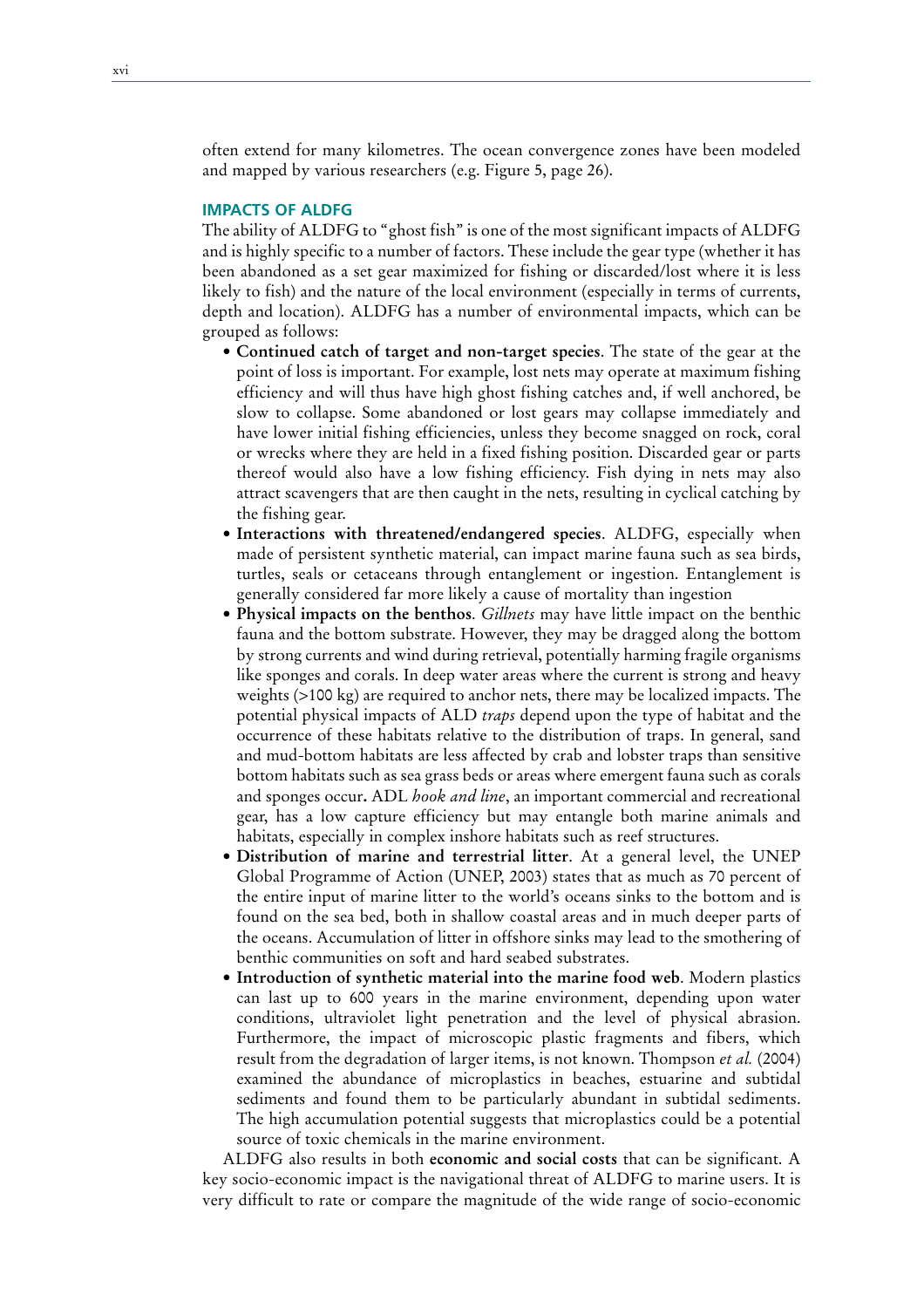often extend for many kilometres. The ocean convergence zones have been modeled and mapped by various researchers (e.g. Figure 5, page 26).

#### **IMPACTS OF ALDFG**

The ability of ALDFG to "ghost fish" is one of the most significant impacts of ALDFG and is highly specific to a number of factors. These include the gear type (whether it has been abandoned as a set gear maximized for fishing or discarded/lost where it is less likely to fish) and the nature of the local environment (especially in terms of currents, depth and location). ALDFG has a number of environmental impacts, which can be grouped as follows:

- **rContinued catch of target and non-target species**. The state of the gear at the point of loss is important. For example, lost nets may operate at maximum fishing efficiency and will thus have high ghost fishing catches and, if well anchored, be slow to collapse. Some abandoned or lost gears may collapse immediately and have lower initial fishing efficiencies, unless they become snagged on rock, coral or wrecks where they are held in a fixed fishing position. Discarded gear or parts thereof would also have a low fishing efficiency. Fish dying in nets may also attract scavengers that are then caught in the nets, resulting in cyclical catching by the fishing gear.
- **rInteractions with threatened/endangered species**. ALDFG, especially when made of persistent synthetic material, can impact marine fauna such as sea birds, turtles, seals or cetaceans through entanglement or ingestion. Entanglement is generally considered far more likely a cause of mortality than ingestion
- **rPhysical impacts on the benthos**. *Gillnets* may have little impact on the benthic fauna and the bottom substrate. However, they may be dragged along the bottom by strong currents and wind during retrieval, potentially harming fragile organisms like sponges and corals. In deep water areas where the current is strong and heavy weights (>100 kg) are required to anchor nets, there may be localized impacts. The potential physical impacts of ALD *traps* depend upon the type of habitat and the occurrence of these habitats relative to the distribution of traps. In general, sand and mud-bottom habitats are less affected by crab and lobster traps than sensitive bottom habitats such as sea grass beds or areas where emergent fauna such as corals and sponges occur**.** ADL *hook and line*, an important commercial and recreational gear, has a low capture efficiency but may entangle both marine animals and habitats, especially in complex inshore habitats such as reef structures.
- **rDistribution of marine and terrestrial litter**. At a general level, the UNEP Global Programme of Action (UNEP, 2003) states that as much as 70 percent of the entire input of marine litter to the world's oceans sinks to the bottom and is found on the sea bed, both in shallow coastal areas and in much deeper parts of the oceans. Accumulation of litter in offshore sinks may lead to the smothering of benthic communities on soft and hard seabed substrates.
- **rIntroduction of synthetic material into the marine food web**. Modern plastics can last up to 600 years in the marine environment, depending upon water conditions, ultraviolet light penetration and the level of physical abrasion. Furthermore, the impact of microscopic plastic fragments and fibers, which result from the degradation of larger items, is not known. Thompson *et al.* (2004) examined the abundance of microplastics in beaches, estuarine and subtidal sediments and found them to be particularly abundant in subtidal sediments. The high accumulation potential suggests that microplastics could be a potential source of toxic chemicals in the marine environment.

ALDFG also results in both **economic and social costs** that can be significant. A key socio-economic impact is the navigational threat of ALDFG to marine users. It is very difficult to rate or compare the magnitude of the wide range of socio-economic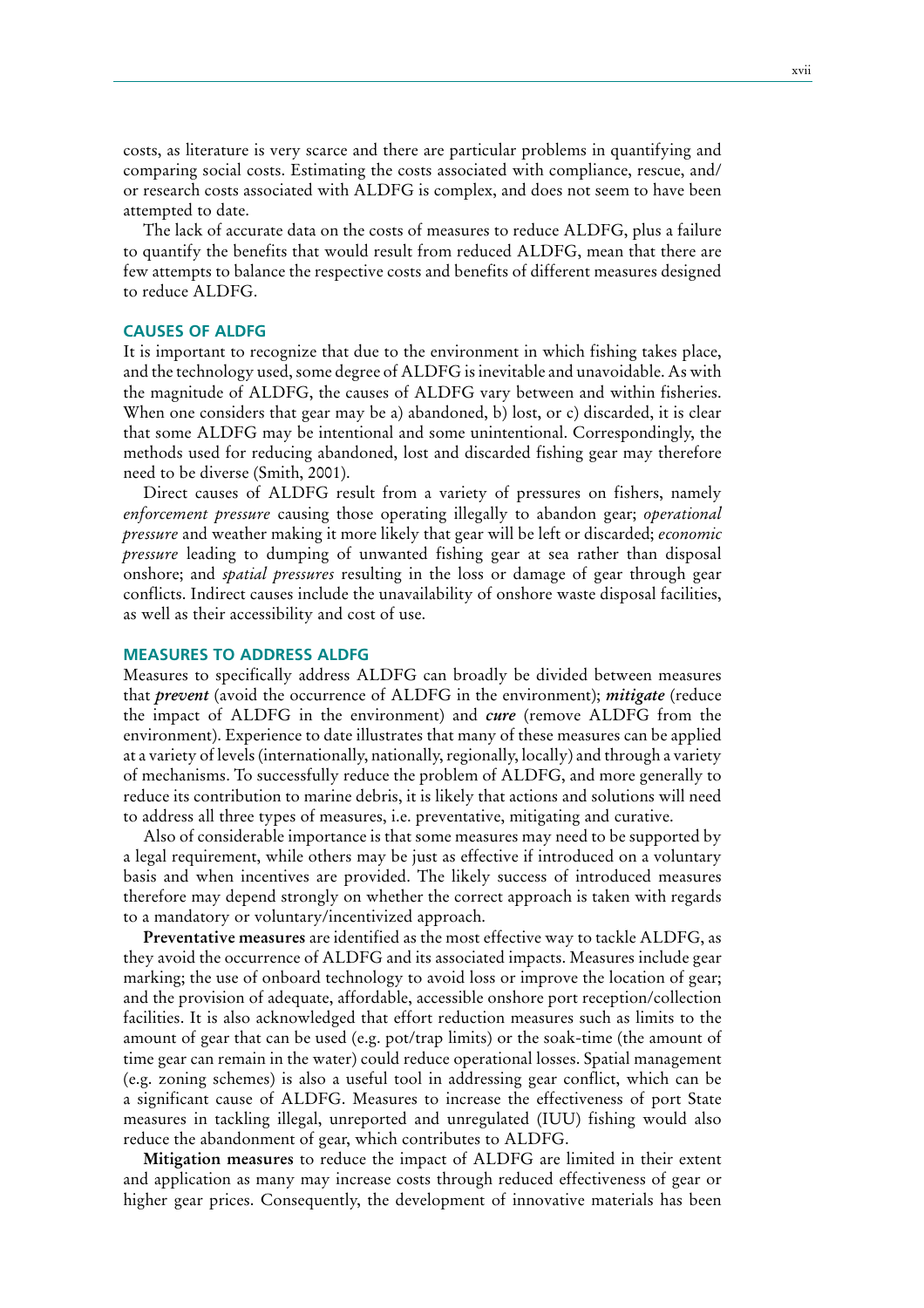costs, as literature is very scarce and there are particular problems in quantifying and comparing social costs. Estimating the costs associated with compliance, rescue, and/ or research costs associated with ALDFG is complex, and does not seem to have been attempted to date.

The lack of accurate data on the costs of measures to reduce ALDFG, plus a failure to quantify the benefits that would result from reduced ALDFG, mean that there are few attempts to balance the respective costs and benefits of different measures designed to reduce ALDFG.

### **CAUSES OF ALDFG**

It is important to recognize that due to the environment in which fishing takes place, and the technology used, some degree of ALDFG is inevitable and unavoidable. As with the magnitude of ALDFG, the causes of ALDFG vary between and within fisheries. When one considers that gear may be a) abandoned, b) lost, or c) discarded, it is clear that some ALDFG may be intentional and some unintentional. Correspondingly, the methods used for reducing abandoned, lost and discarded fishing gear may therefore need to be diverse (Smith, 2001).

Direct causes of ALDFG result from a variety of pressures on fishers, namely *enforcement pressure* causing those operating illegally to abandon gear; *operational pressure* and weather making it more likely that gear will be left or discarded; *economic pressure* leading to dumping of unwanted fishing gear at sea rather than disposal onshore; and *spatial pressures* resulting in the loss or damage of gear through gear conflicts. Indirect causes include the unavailability of onshore waste disposal facilities, as well as their accessibility and cost of use.

#### **MEASURES TO ADDRESS ALDFG**

Measures to specifically address ALDFG can broadly be divided between measures that *prevent* (avoid the occurrence of ALDFG in the environment); *mitigate* (reduce the impact of ALDFG in the environment) and *cure* (remove ALDFG from the environment). Experience to date illustrates that many of these measures can be applied at a variety of levels (internationally, nationally, regionally, locally) and through a variety of mechanisms. To successfully reduce the problem of ALDFG, and more generally to reduce its contribution to marine debris, it is likely that actions and solutions will need to address all three types of measures, i.e. preventative, mitigating and curative.

Also of considerable importance is that some measures may need to be supported by a legal requirement, while others may be just as effective if introduced on a voluntary basis and when incentives are provided. The likely success of introduced measures therefore may depend strongly on whether the correct approach is taken with regards to a mandatory or voluntary/incentivized approach.

**Preventative measures** are identified as the most effective way to tackle ALDFG, as they avoid the occurrence of ALDFG and its associated impacts. Measures include gear marking; the use of onboard technology to avoid loss or improve the location of gear; and the provision of adequate, affordable, accessible onshore port reception/collection facilities. It is also acknowledged that effort reduction measures such as limits to the amount of gear that can be used (e.g. pot/trap limits) or the soak-time (the amount of time gear can remain in the water) could reduce operational losses. Spatial management (e.g. zoning schemes) is also a useful tool in addressing gear conflict, which can be a significant cause of ALDFG. Measures to increase the effectiveness of port State measures in tackling illegal, unreported and unregulated (IUU) fishing would also reduce the abandonment of gear, which contributes to ALDFG.

**Mitigation measures** to reduce the impact of ALDFG are limited in their extent and application as many may increase costs through reduced effectiveness of gear or higher gear prices. Consequently, the development of innovative materials has been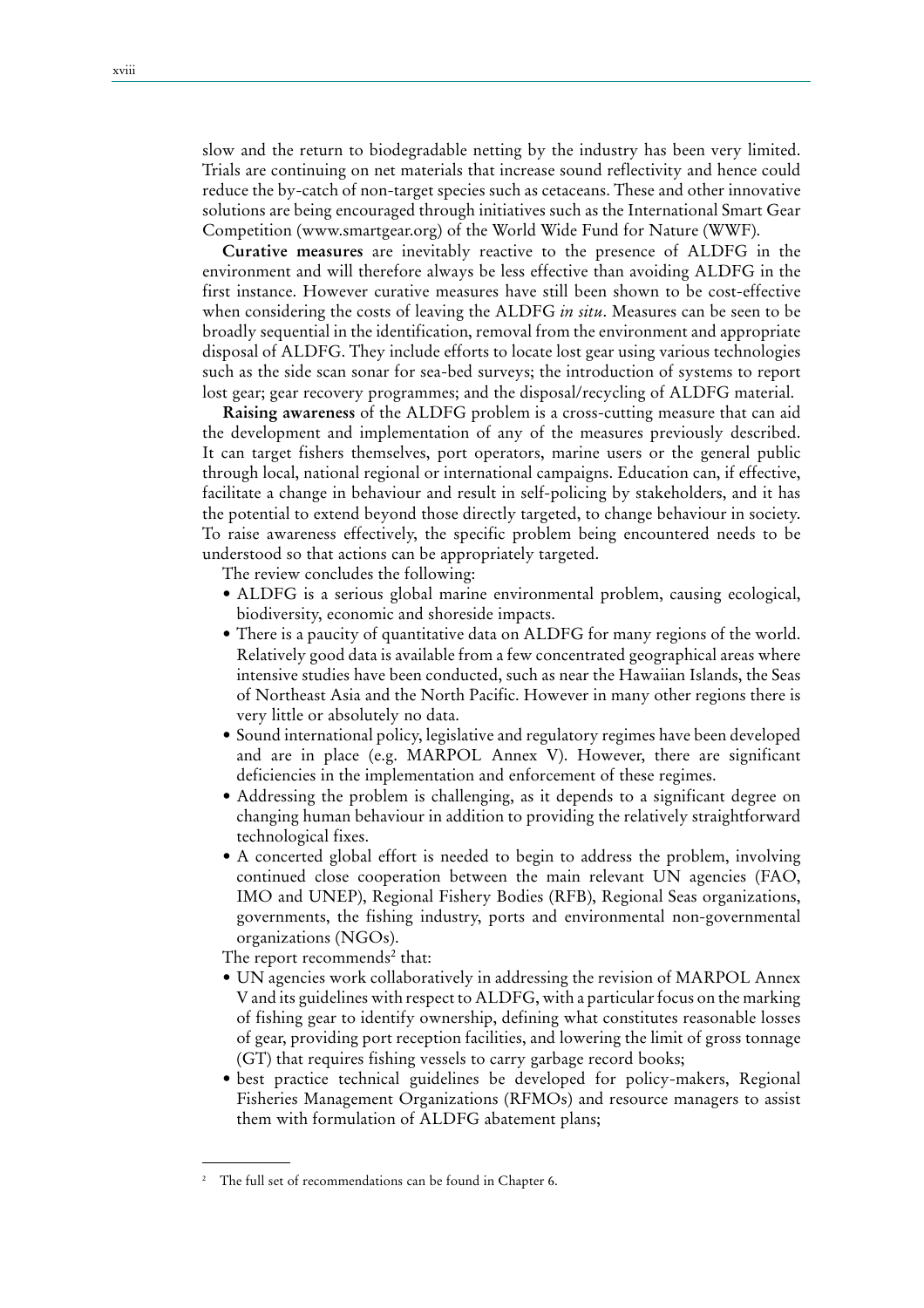slow and the return to biodegradable netting by the industry has been very limited. Trials are continuing on net materials that increase sound reflectivity and hence could reduce the by-catch of non-target species such as cetaceans. These and other innovative solutions are being encouraged through initiatives such as the International Smart Gear Competition (www.smartgear.org) of the World Wide Fund for Nature (WWF).

**Curative measures** are inevitably reactive to the presence of ALDFG in the environment and will therefore always be less effective than avoiding ALDFG in the first instance. However curative measures have still been shown to be cost-effective when considering the costs of leaving the ALDFG *in situ*. Measures can be seen to be broadly sequential in the identification, removal from the environment and appropriate disposal of ALDFG. They include efforts to locate lost gear using various technologies such as the side scan sonar for sea-bed surveys; the introduction of systems to report lost gear; gear recovery programmes; and the disposal/recycling of ALDFG material.

**Raising awareness** of the ALDFG problem is a cross-cutting measure that can aid the development and implementation of any of the measures previously described. It can target fishers themselves, port operators, marine users or the general public through local, national regional or international campaigns. Education can, if effective, facilitate a change in behaviour and result in self-policing by stakeholders, and it has the potential to extend beyond those directly targeted, to change behaviour in society. To raise awareness effectively, the specific problem being encountered needs to be understood so that actions can be appropriately targeted.

The review concludes the following:

- ALDFG is a serious global marine environmental problem, causing ecological, biodiversity, economic and shoreside impacts.
- There is a paucity of quantitative data on ALDFG for many regions of the world. Relatively good data is available from a few concentrated geographical areas where intensive studies have been conducted, such as near the Hawaiian Islands, the Seas of Northeast Asia and the North Pacific. However in many other regions there is very little or absolutely no data.
- Sound international policy, legislative and regulatory regimes have been developed and are in place (e.g. MARPOL Annex V). However, there are significant deficiencies in the implementation and enforcement of these regimes.
- Addressing the problem is challenging, as it depends to a significant degree on changing human behaviour in addition to providing the relatively straightforward technological fixes.
- A concerted global effort is needed to begin to address the problem, involving continued close cooperation between the main relevant UN agencies (FAO, IMO and UNEP), Regional Fishery Bodies (RFB), Regional Seas organizations, governments, the fishing industry, ports and environmental non-governmental organizations (NGOs).

The report recommends<sup>2</sup> that:

- UN agencies work collaboratively in addressing the revision of MARPOL Annex V and its guidelines with respect to ALDFG, with a particular focus on the marking of fishing gear to identify ownership, defining what constitutes reasonable losses of gear, providing port reception facilities, and lowering the limit of gross tonnage (GT) that requires fishing vessels to carry garbage record books;
- best practice technical guidelines be developed for policy-makers, Regional Fisheries Management Organizations (RFMOs) and resource managers to assist them with formulation of ALDFG abatement plans;

<sup>2</sup> The full set of recommendations can be found in Chapter 6.